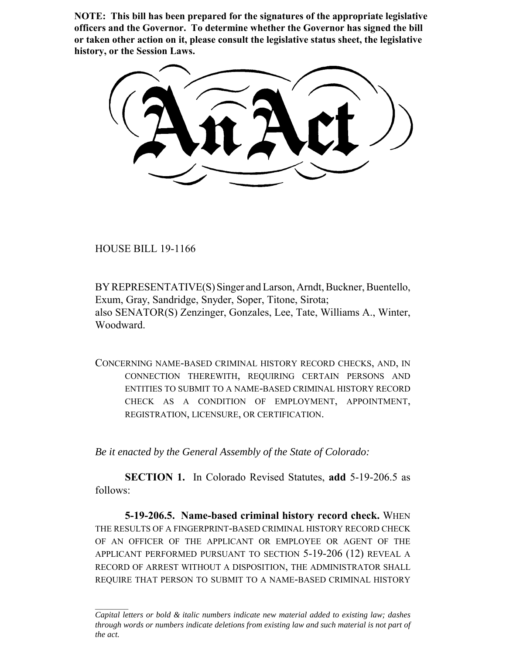**NOTE: This bill has been prepared for the signatures of the appropriate legislative officers and the Governor. To determine whether the Governor has signed the bill or taken other action on it, please consult the legislative status sheet, the legislative history, or the Session Laws.**

HOUSE BILL 19-1166

BY REPRESENTATIVE(S) Singer and Larson, Arndt, Buckner, Buentello, Exum, Gray, Sandridge, Snyder, Soper, Titone, Sirota; also SENATOR(S) Zenzinger, Gonzales, Lee, Tate, Williams A., Winter, Woodward.

CONCERNING NAME-BASED CRIMINAL HISTORY RECORD CHECKS, AND, IN CONNECTION THEREWITH, REQUIRING CERTAIN PERSONS AND ENTITIES TO SUBMIT TO A NAME-BASED CRIMINAL HISTORY RECORD CHECK AS A CONDITION OF EMPLOYMENT, APPOINTMENT, REGISTRATION, LICENSURE, OR CERTIFICATION.

*Be it enacted by the General Assembly of the State of Colorado:*

**SECTION 1.** In Colorado Revised Statutes, **add** 5-19-206.5 as follows:

**5-19-206.5. Name-based criminal history record check.** WHEN THE RESULTS OF A FINGERPRINT-BASED CRIMINAL HISTORY RECORD CHECK OF AN OFFICER OF THE APPLICANT OR EMPLOYEE OR AGENT OF THE APPLICANT PERFORMED PURSUANT TO SECTION 5-19-206 (12) REVEAL A RECORD OF ARREST WITHOUT A DISPOSITION, THE ADMINISTRATOR SHALL REQUIRE THAT PERSON TO SUBMIT TO A NAME-BASED CRIMINAL HISTORY

*Capital letters or bold & italic numbers indicate new material added to existing law; dashes through words or numbers indicate deletions from existing law and such material is not part of the act.*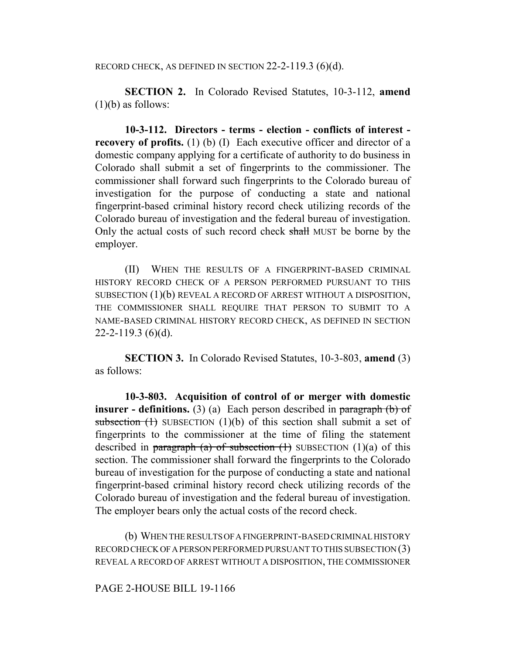#### RECORD CHECK, AS DEFINED IN SECTION 22-2-119.3 (6)(d).

**SECTION 2.** In Colorado Revised Statutes, 10-3-112, **amend**  $(1)(b)$  as follows:

**10-3-112. Directors - terms - election - conflicts of interest recovery of profits.** (1) (b) (I) Each executive officer and director of a domestic company applying for a certificate of authority to do business in Colorado shall submit a set of fingerprints to the commissioner. The commissioner shall forward such fingerprints to the Colorado bureau of investigation for the purpose of conducting a state and national fingerprint-based criminal history record check utilizing records of the Colorado bureau of investigation and the federal bureau of investigation. Only the actual costs of such record check shall MUST be borne by the employer.

(II) WHEN THE RESULTS OF A FINGERPRINT-BASED CRIMINAL HISTORY RECORD CHECK OF A PERSON PERFORMED PURSUANT TO THIS SUBSECTION (1)(b) REVEAL A RECORD OF ARREST WITHOUT A DISPOSITION, THE COMMISSIONER SHALL REQUIRE THAT PERSON TO SUBMIT TO A NAME-BASED CRIMINAL HISTORY RECORD CHECK, AS DEFINED IN SECTION  $22 - 2 - 119.3$  (6)(d).

**SECTION 3.** In Colorado Revised Statutes, 10-3-803, **amend** (3) as follows:

**10-3-803. Acquisition of control of or merger with domestic insurer - definitions.** (3) (a) Each person described in paragraph (b) of subsection  $(1)$  SUBSECTION  $(1)(b)$  of this section shall submit a set of fingerprints to the commissioner at the time of filing the statement described in paragraph (a) of subsection  $(1)$  SUBSECTION  $(1)(a)$  of this section. The commissioner shall forward the fingerprints to the Colorado bureau of investigation for the purpose of conducting a state and national fingerprint-based criminal history record check utilizing records of the Colorado bureau of investigation and the federal bureau of investigation. The employer bears only the actual costs of the record check.

(b) WHEN THE RESULTS OF A FINGERPRINT-BASED CRIMINAL HISTORY RECORD CHECK OF A PERSON PERFORMED PURSUANT TO THIS SUBSECTION (3) REVEAL A RECORD OF ARREST WITHOUT A DISPOSITION, THE COMMISSIONER

PAGE 2-HOUSE BILL 19-1166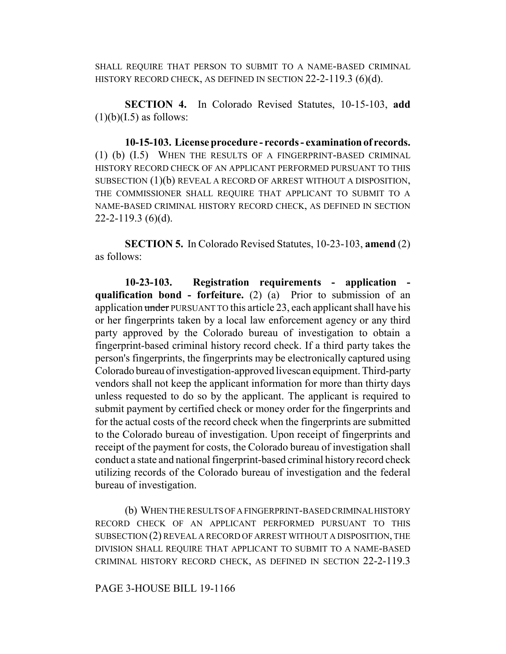SHALL REQUIRE THAT PERSON TO SUBMIT TO A NAME-BASED CRIMINAL HISTORY RECORD CHECK, AS DEFINED IN SECTION 22-2-119.3 (6)(d).

**SECTION 4.** In Colorado Revised Statutes, 10-15-103, **add**  $(1)(b)(I.5)$  as follows:

**10-15-103. License procedure - records - examination of records.** (1) (b) (I.5) WHEN THE RESULTS OF A FINGERPRINT-BASED CRIMINAL HISTORY RECORD CHECK OF AN APPLICANT PERFORMED PURSUANT TO THIS SUBSECTION (1)(b) REVEAL A RECORD OF ARREST WITHOUT A DISPOSITION, THE COMMISSIONER SHALL REQUIRE THAT APPLICANT TO SUBMIT TO A NAME-BASED CRIMINAL HISTORY RECORD CHECK, AS DEFINED IN SECTION  $22 - 2 - 119.3$  (6)(d).

**SECTION 5.** In Colorado Revised Statutes, 10-23-103, **amend** (2) as follows:

**10-23-103. Registration requirements - application qualification bond - forfeiture.** (2) (a) Prior to submission of an application under PURSUANT TO this article 23, each applicant shall have his or her fingerprints taken by a local law enforcement agency or any third party approved by the Colorado bureau of investigation to obtain a fingerprint-based criminal history record check. If a third party takes the person's fingerprints, the fingerprints may be electronically captured using Colorado bureau of investigation-approved livescan equipment. Third-party vendors shall not keep the applicant information for more than thirty days unless requested to do so by the applicant. The applicant is required to submit payment by certified check or money order for the fingerprints and for the actual costs of the record check when the fingerprints are submitted to the Colorado bureau of investigation. Upon receipt of fingerprints and receipt of the payment for costs, the Colorado bureau of investigation shall conduct a state and national fingerprint-based criminal history record check utilizing records of the Colorado bureau of investigation and the federal bureau of investigation.

(b) WHEN THE RESULTS OF A FINGERPRINT-BASED CRIMINAL HISTORY RECORD CHECK OF AN APPLICANT PERFORMED PURSUANT TO THIS SUBSECTION (2) REVEAL A RECORD OF ARREST WITHOUT A DISPOSITION, THE DIVISION SHALL REQUIRE THAT APPLICANT TO SUBMIT TO A NAME-BASED CRIMINAL HISTORY RECORD CHECK, AS DEFINED IN SECTION 22-2-119.3

# PAGE 3-HOUSE BILL 19-1166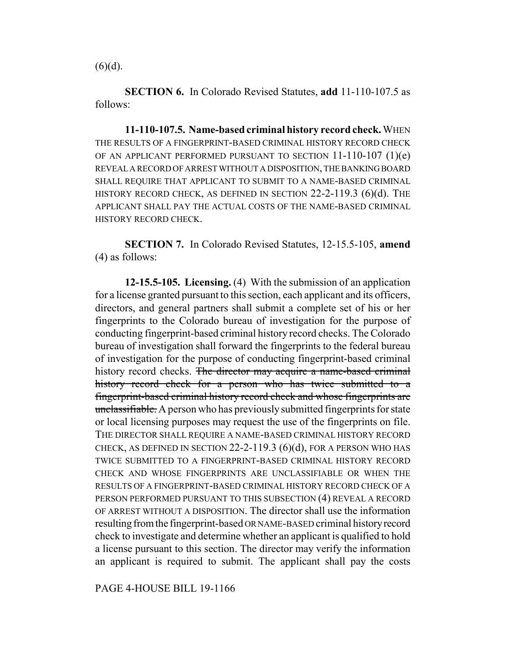$(6)(d)$ .

**SECTION 6.** In Colorado Revised Statutes, **add** 11-110-107.5 as follows:

**11-110-107.5. Name-based criminal history record check.** WHEN THE RESULTS OF A FINGERPRINT-BASED CRIMINAL HISTORY RECORD CHECK OF AN APPLICANT PERFORMED PURSUANT TO SECTION 11-110-107 (1)(e) REVEAL A RECORD OF ARREST WITHOUT A DISPOSITION, THE BANKING BOARD SHALL REQUIRE THAT APPLICANT TO SUBMIT TO A NAME-BASED CRIMINAL HISTORY RECORD CHECK, AS DEFINED IN SECTION 22-2-119.3 (6)(d). THE APPLICANT SHALL PAY THE ACTUAL COSTS OF THE NAME-BASED CRIMINAL HISTORY RECORD CHECK.

**SECTION 7.** In Colorado Revised Statutes, 12-15.5-105, **amend** (4) as follows:

**12-15.5-105. Licensing.** (4) With the submission of an application for a license granted pursuant to this section, each applicant and its officers, directors, and general partners shall submit a complete set of his or her fingerprints to the Colorado bureau of investigation for the purpose of conducting fingerprint-based criminal history record checks. The Colorado bureau of investigation shall forward the fingerprints to the federal bureau of investigation for the purpose of conducting fingerprint-based criminal history record checks. The director may acquire a name-based criminal history record check for a person who has twice submitted to a fingerprint-based criminal history record check and whose fingerprints are unclassifiable. A person who has previously submitted fingerprints for state or local licensing purposes may request the use of the fingerprints on file. THE DIRECTOR SHALL REQUIRE A NAME-BASED CRIMINAL HISTORY RECORD CHECK, AS DEFINED IN SECTION 22-2-119.3 (6)(d), FOR A PERSON WHO HAS TWICE SUBMITTED TO A FINGERPRINT-BASED CRIMINAL HISTORY RECORD CHECK AND WHOSE FINGERPRINTS ARE UNCLASSIFIABLE OR WHEN THE RESULTS OF A FINGERPRINT-BASED CRIMINAL HISTORY RECORD CHECK OF A PERSON PERFORMED PURSUANT TO THIS SUBSECTION (4) REVEAL A RECORD OF ARREST WITHOUT A DISPOSITION. The director shall use the information resulting from the fingerprint-based OR NAME-BASED criminal history record check to investigate and determine whether an applicant is qualified to hold a license pursuant to this section. The director may verify the information an applicant is required to submit. The applicant shall pay the costs

PAGE 4-HOUSE BILL 19-1166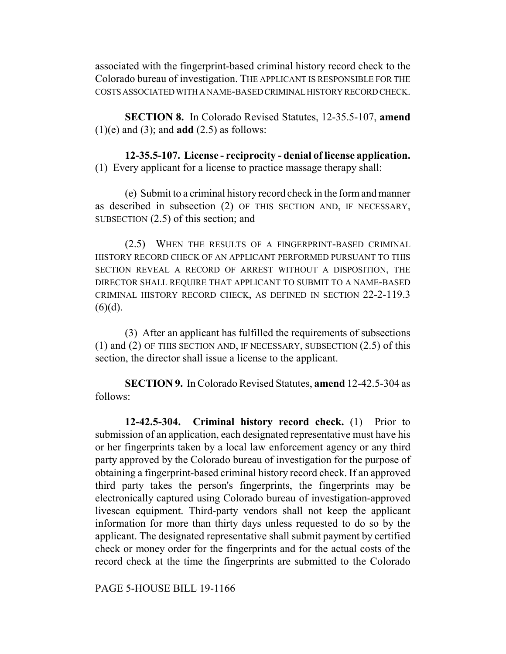associated with the fingerprint-based criminal history record check to the Colorado bureau of investigation. THE APPLICANT IS RESPONSIBLE FOR THE COSTS ASSOCIATED WITH A NAME-BASED CRIMINAL HISTORY RECORD CHECK.

**SECTION 8.** In Colorado Revised Statutes, 12-35.5-107, **amend** (1)(e) and (3); and **add** (2.5) as follows:

**12-35.5-107. License - reciprocity - denial of license application.** (1) Every applicant for a license to practice massage therapy shall:

(e) Submit to a criminal history record check in the form and manner as described in subsection (2) OF THIS SECTION AND, IF NECESSARY, SUBSECTION (2.5) of this section; and

(2.5) WHEN THE RESULTS OF A FINGERPRINT-BASED CRIMINAL HISTORY RECORD CHECK OF AN APPLICANT PERFORMED PURSUANT TO THIS SECTION REVEAL A RECORD OF ARREST WITHOUT A DISPOSITION, THE DIRECTOR SHALL REQUIRE THAT APPLICANT TO SUBMIT TO A NAME-BASED CRIMINAL HISTORY RECORD CHECK, AS DEFINED IN SECTION 22-2-119.3  $(6)(d)$ .

(3) After an applicant has fulfilled the requirements of subsections (1) and (2) OF THIS SECTION AND, IF NECESSARY, SUBSECTION (2.5) of this section, the director shall issue a license to the applicant.

**SECTION 9.** In Colorado Revised Statutes, **amend** 12-42.5-304 as follows:

**12-42.5-304. Criminal history record check.** (1) Prior to submission of an application, each designated representative must have his or her fingerprints taken by a local law enforcement agency or any third party approved by the Colorado bureau of investigation for the purpose of obtaining a fingerprint-based criminal history record check. If an approved third party takes the person's fingerprints, the fingerprints may be electronically captured using Colorado bureau of investigation-approved livescan equipment. Third-party vendors shall not keep the applicant information for more than thirty days unless requested to do so by the applicant. The designated representative shall submit payment by certified check or money order for the fingerprints and for the actual costs of the record check at the time the fingerprints are submitted to the Colorado

PAGE 5-HOUSE BILL 19-1166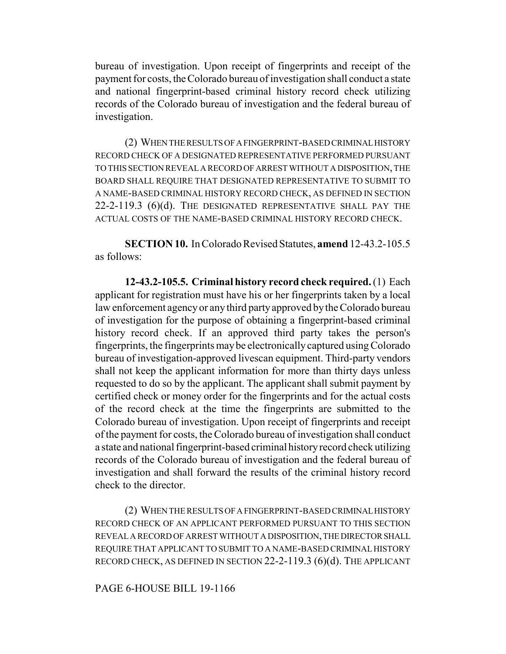bureau of investigation. Upon receipt of fingerprints and receipt of the payment for costs, the Colorado bureau of investigation shall conduct a state and national fingerprint-based criminal history record check utilizing records of the Colorado bureau of investigation and the federal bureau of investigation.

(2) WHEN THE RESULTS OF A FINGERPRINT-BASED CRIMINAL HISTORY RECORD CHECK OF A DESIGNATED REPRESENTATIVE PERFORMED PURSUANT TO THIS SECTION REVEAL A RECORD OF ARREST WITHOUT A DISPOSITION, THE BOARD SHALL REQUIRE THAT DESIGNATED REPRESENTATIVE TO SUBMIT TO A NAME-BASED CRIMINAL HISTORY RECORD CHECK, AS DEFINED IN SECTION 22-2-119.3 (6)(d). THE DESIGNATED REPRESENTATIVE SHALL PAY THE ACTUAL COSTS OF THE NAME-BASED CRIMINAL HISTORY RECORD CHECK.

**SECTION 10.** In Colorado Revised Statutes, **amend** 12-43.2-105.5 as follows:

**12-43.2-105.5. Criminal history record check required.** (1) Each applicant for registration must have his or her fingerprints taken by a local law enforcement agency or any third party approved by the Colorado bureau of investigation for the purpose of obtaining a fingerprint-based criminal history record check. If an approved third party takes the person's fingerprints, the fingerprints may be electronically captured using Colorado bureau of investigation-approved livescan equipment. Third-party vendors shall not keep the applicant information for more than thirty days unless requested to do so by the applicant. The applicant shall submit payment by certified check or money order for the fingerprints and for the actual costs of the record check at the time the fingerprints are submitted to the Colorado bureau of investigation. Upon receipt of fingerprints and receipt of the payment for costs, the Colorado bureau of investigation shall conduct a state and national fingerprint-based criminal history record check utilizing records of the Colorado bureau of investigation and the federal bureau of investigation and shall forward the results of the criminal history record check to the director.

(2) WHEN THE RESULTS OF A FINGERPRINT-BASED CRIMINAL HISTORY RECORD CHECK OF AN APPLICANT PERFORMED PURSUANT TO THIS SECTION REVEAL A RECORD OF ARREST WITHOUT A DISPOSITION, THE DIRECTOR SHALL REQUIRE THAT APPLICANT TO SUBMIT TO A NAME-BASED CRIMINAL HISTORY RECORD CHECK, AS DEFINED IN SECTION 22-2-119.3 (6)(d). THE APPLICANT

# PAGE 6-HOUSE BILL 19-1166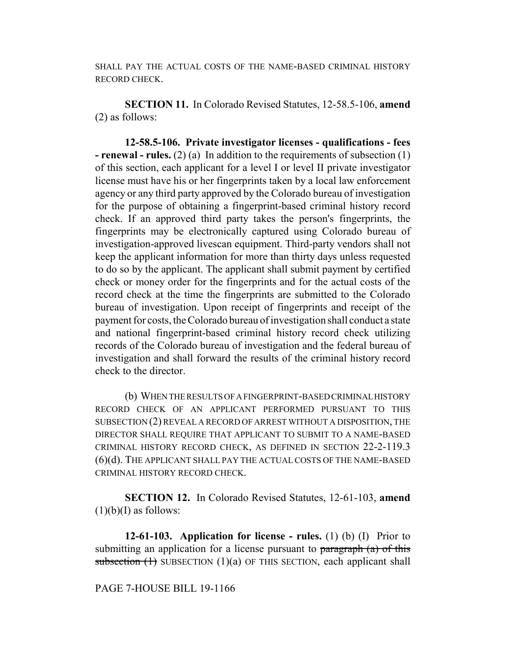SHALL PAY THE ACTUAL COSTS OF THE NAME-BASED CRIMINAL HISTORY RECORD CHECK.

**SECTION 11.** In Colorado Revised Statutes, 12-58.5-106, **amend** (2) as follows:

**12-58.5-106. Private investigator licenses - qualifications - fees - renewal - rules.** (2) (a) In addition to the requirements of subsection (1) of this section, each applicant for a level I or level II private investigator license must have his or her fingerprints taken by a local law enforcement agency or any third party approved by the Colorado bureau of investigation for the purpose of obtaining a fingerprint-based criminal history record check. If an approved third party takes the person's fingerprints, the fingerprints may be electronically captured using Colorado bureau of investigation-approved livescan equipment. Third-party vendors shall not keep the applicant information for more than thirty days unless requested to do so by the applicant. The applicant shall submit payment by certified check or money order for the fingerprints and for the actual costs of the record check at the time the fingerprints are submitted to the Colorado bureau of investigation. Upon receipt of fingerprints and receipt of the payment for costs, the Colorado bureau of investigation shall conduct a state and national fingerprint-based criminal history record check utilizing records of the Colorado bureau of investigation and the federal bureau of investigation and shall forward the results of the criminal history record check to the director.

(b) WHEN THE RESULTS OF A FINGERPRINT-BASED CRIMINAL HISTORY RECORD CHECK OF AN APPLICANT PERFORMED PURSUANT TO THIS SUBSECTION (2) REVEAL A RECORD OF ARREST WITHOUT A DISPOSITION, THE DIRECTOR SHALL REQUIRE THAT APPLICANT TO SUBMIT TO A NAME-BASED CRIMINAL HISTORY RECORD CHECK, AS DEFINED IN SECTION 22-2-119.3 (6)(d). THE APPLICANT SHALL PAY THE ACTUAL COSTS OF THE NAME-BASED CRIMINAL HISTORY RECORD CHECK.

**SECTION 12.** In Colorado Revised Statutes, 12-61-103, **amend**  $(1)(b)(I)$  as follows:

**12-61-103. Application for license - rules.** (1) (b) (I) Prior to submitting an application for a license pursuant to  $\frac{\partial^2 f}{\partial x \partial y}$  (a) of this subsection  $(1)$  SUBSECTION  $(1)(a)$  OF THIS SECTION, each applicant shall

# PAGE 7-HOUSE BILL 19-1166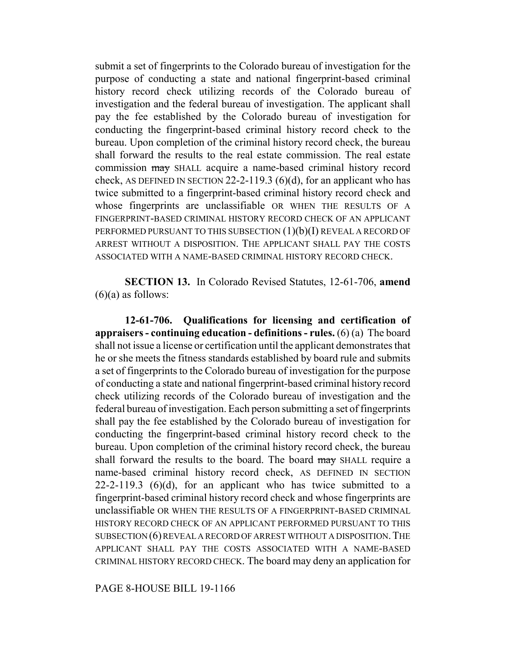submit a set of fingerprints to the Colorado bureau of investigation for the purpose of conducting a state and national fingerprint-based criminal history record check utilizing records of the Colorado bureau of investigation and the federal bureau of investigation. The applicant shall pay the fee established by the Colorado bureau of investigation for conducting the fingerprint-based criminal history record check to the bureau. Upon completion of the criminal history record check, the bureau shall forward the results to the real estate commission. The real estate commission may SHALL acquire a name-based criminal history record check, AS DEFINED IN SECTION 22-2-119.3  $(6)(d)$ , for an applicant who has twice submitted to a fingerprint-based criminal history record check and whose fingerprints are unclassifiable OR WHEN THE RESULTS OF A FINGERPRINT-BASED CRIMINAL HISTORY RECORD CHECK OF AN APPLICANT PERFORMED PURSUANT TO THIS SUBSECTION  $(1)(b)(I)$  REVEAL A RECORD OF ARREST WITHOUT A DISPOSITION. THE APPLICANT SHALL PAY THE COSTS ASSOCIATED WITH A NAME-BASED CRIMINAL HISTORY RECORD CHECK.

**SECTION 13.** In Colorado Revised Statutes, 12-61-706, **amend**  $(6)(a)$  as follows:

**12-61-706. Qualifications for licensing and certification of appraisers - continuing education - definitions - rules.** (6) (a) The board shall not issue a license or certification until the applicant demonstrates that he or she meets the fitness standards established by board rule and submits a set of fingerprints to the Colorado bureau of investigation for the purpose of conducting a state and national fingerprint-based criminal history record check utilizing records of the Colorado bureau of investigation and the federal bureau of investigation. Each person submitting a set of fingerprints shall pay the fee established by the Colorado bureau of investigation for conducting the fingerprint-based criminal history record check to the bureau. Upon completion of the criminal history record check, the bureau shall forward the results to the board. The board may SHALL require a name-based criminal history record check, AS DEFINED IN SECTION  $22-2-119.3$  (6)(d), for an applicant who has twice submitted to a fingerprint-based criminal history record check and whose fingerprints are unclassifiable OR WHEN THE RESULTS OF A FINGERPRINT-BASED CRIMINAL HISTORY RECORD CHECK OF AN APPLICANT PERFORMED PURSUANT TO THIS SUBSECTION  $(6)$  REVEAL A RECORD OF ARREST WITHOUT A DISPOSITION. THE APPLICANT SHALL PAY THE COSTS ASSOCIATED WITH A NAME-BASED CRIMINAL HISTORY RECORD CHECK. The board may deny an application for

PAGE 8-HOUSE BILL 19-1166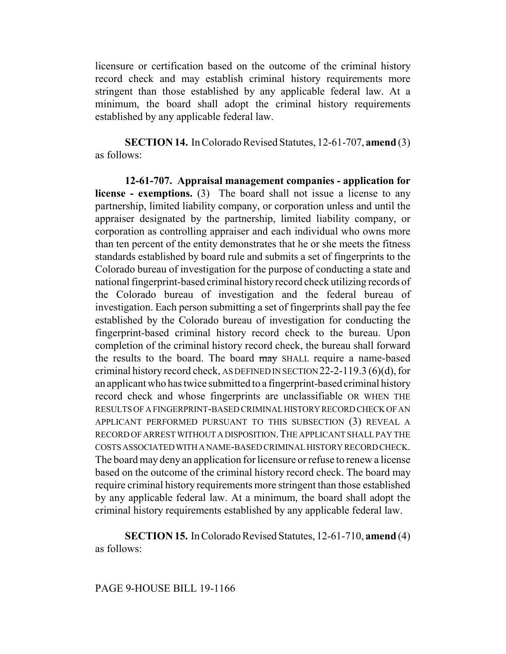licensure or certification based on the outcome of the criminal history record check and may establish criminal history requirements more stringent than those established by any applicable federal law. At a minimum, the board shall adopt the criminal history requirements established by any applicable federal law.

**SECTION 14.** In Colorado Revised Statutes, 12-61-707, **amend** (3) as follows:

**12-61-707. Appraisal management companies - application for license** - **exemptions.** (3) The board shall not issue a license to any partnership, limited liability company, or corporation unless and until the appraiser designated by the partnership, limited liability company, or corporation as controlling appraiser and each individual who owns more than ten percent of the entity demonstrates that he or she meets the fitness standards established by board rule and submits a set of fingerprints to the Colorado bureau of investigation for the purpose of conducting a state and national fingerprint-based criminal history record check utilizing records of the Colorado bureau of investigation and the federal bureau of investigation. Each person submitting a set of fingerprints shall pay the fee established by the Colorado bureau of investigation for conducting the fingerprint-based criminal history record check to the bureau. Upon completion of the criminal history record check, the bureau shall forward the results to the board. The board may SHALL require a name-based criminal history record check, AS DEFINED IN SECTION 22-2-119.3 (6)(d), for an applicant who has twice submitted to a fingerprint-based criminal history record check and whose fingerprints are unclassifiable OR WHEN THE RESULTS OF A FINGERPRINT-BASED CRIMINAL HISTORY RECORD CHECK OF AN APPLICANT PERFORMED PURSUANT TO THIS SUBSECTION (3) REVEAL A RECORD OF ARREST WITHOUT A DISPOSITION.THE APPLICANT SHALL PAY THE COSTS ASSOCIATED WITH A NAME-BASED CRIMINAL HISTORY RECORD CHECK. The board may deny an application for licensure or refuse to renew a license based on the outcome of the criminal history record check. The board may require criminal history requirements more stringent than those established by any applicable federal law. At a minimum, the board shall adopt the criminal history requirements established by any applicable federal law.

**SECTION 15.** In Colorado Revised Statutes, 12-61-710, **amend** (4) as follows: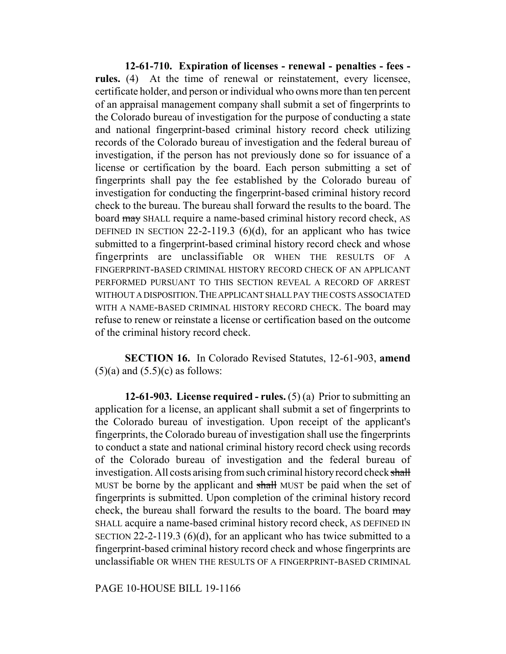**12-61-710. Expiration of licenses - renewal - penalties - fees rules.** (4) At the time of renewal or reinstatement, every licensee, certificate holder, and person or individual who owns more than ten percent of an appraisal management company shall submit a set of fingerprints to the Colorado bureau of investigation for the purpose of conducting a state and national fingerprint-based criminal history record check utilizing records of the Colorado bureau of investigation and the federal bureau of investigation, if the person has not previously done so for issuance of a license or certification by the board. Each person submitting a set of fingerprints shall pay the fee established by the Colorado bureau of investigation for conducting the fingerprint-based criminal history record check to the bureau. The bureau shall forward the results to the board. The board may SHALL require a name-based criminal history record check, AS DEFINED IN SECTION 22-2-119.3 (6)(d), for an applicant who has twice submitted to a fingerprint-based criminal history record check and whose fingerprints are unclassifiable OR WHEN THE RESULTS OF A FINGERPRINT-BASED CRIMINAL HISTORY RECORD CHECK OF AN APPLICANT PERFORMED PURSUANT TO THIS SECTION REVEAL A RECORD OF ARREST WITHOUT A DISPOSITION.THE APPLICANT SHALL PAY THE COSTS ASSOCIATED WITH A NAME-BASED CRIMINAL HISTORY RECORD CHECK. The board may refuse to renew or reinstate a license or certification based on the outcome of the criminal history record check.

**SECTION 16.** In Colorado Revised Statutes, 12-61-903, **amend**  $(5)(a)$  and  $(5.5)(c)$  as follows:

**12-61-903. License required - rules.** (5) (a) Prior to submitting an application for a license, an applicant shall submit a set of fingerprints to the Colorado bureau of investigation. Upon receipt of the applicant's fingerprints, the Colorado bureau of investigation shall use the fingerprints to conduct a state and national criminal history record check using records of the Colorado bureau of investigation and the federal bureau of investigation. All costs arising from such criminal history record check shall MUST be borne by the applicant and shall MUST be paid when the set of fingerprints is submitted. Upon completion of the criminal history record check, the bureau shall forward the results to the board. The board may SHALL acquire a name-based criminal history record check, AS DEFINED IN SECTION 22-2-119.3 (6)(d), for an applicant who has twice submitted to a fingerprint-based criminal history record check and whose fingerprints are unclassifiable OR WHEN THE RESULTS OF A FINGERPRINT-BASED CRIMINAL

PAGE 10-HOUSE BILL 19-1166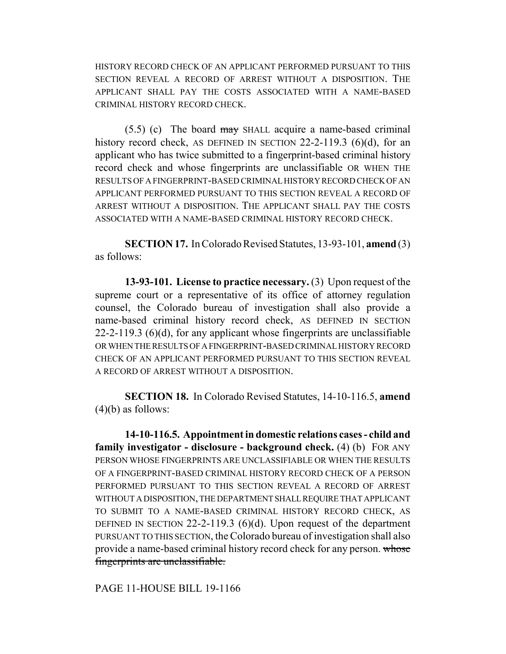HISTORY RECORD CHECK OF AN APPLICANT PERFORMED PURSUANT TO THIS SECTION REVEAL A RECORD OF ARREST WITHOUT A DISPOSITION. THE APPLICANT SHALL PAY THE COSTS ASSOCIATED WITH A NAME-BASED CRIMINAL HISTORY RECORD CHECK.

(5.5) (c) The board may SHALL acquire a name-based criminal history record check, AS DEFINED IN SECTION 22-2-119.3 (6)(d), for an applicant who has twice submitted to a fingerprint-based criminal history record check and whose fingerprints are unclassifiable OR WHEN THE RESULTS OF A FINGERPRINT-BASED CRIMINAL HISTORY RECORD CHECK OF AN APPLICANT PERFORMED PURSUANT TO THIS SECTION REVEAL A RECORD OF ARREST WITHOUT A DISPOSITION. THE APPLICANT SHALL PAY THE COSTS ASSOCIATED WITH A NAME-BASED CRIMINAL HISTORY RECORD CHECK.

**SECTION 17.** In Colorado Revised Statutes, 13-93-101, **amend** (3) as follows:

**13-93-101. License to practice necessary.** (3) Upon request of the supreme court or a representative of its office of attorney regulation counsel, the Colorado bureau of investigation shall also provide a name-based criminal history record check, AS DEFINED IN SECTION 22-2-119.3 (6)(d), for any applicant whose fingerprints are unclassifiable OR WHEN THE RESULTS OF A FINGERPRINT-BASED CRIMINAL HISTORY RECORD CHECK OF AN APPLICANT PERFORMED PURSUANT TO THIS SECTION REVEAL A RECORD OF ARREST WITHOUT A DISPOSITION.

**SECTION 18.** In Colorado Revised Statutes, 14-10-116.5, **amend**  $(4)(b)$  as follows:

**14-10-116.5. Appointment in domestic relations cases - child and family investigator - disclosure - background check.** (4) (b) FOR ANY PERSON WHOSE FINGERPRINTS ARE UNCLASSIFIABLE OR WHEN THE RESULTS OF A FINGERPRINT-BASED CRIMINAL HISTORY RECORD CHECK OF A PERSON PERFORMED PURSUANT TO THIS SECTION REVEAL A RECORD OF ARREST WITHOUT A DISPOSITION, THE DEPARTMENT SHALL REQUIRE THAT APPLICANT TO SUBMIT TO A NAME-BASED CRIMINAL HISTORY RECORD CHECK, AS DEFINED IN SECTION 22-2-119.3 (6)(d). Upon request of the department PURSUANT TO THIS SECTION, the Colorado bureau of investigation shall also provide a name-based criminal history record check for any person. whose fingerprints are unclassifiable.

PAGE 11-HOUSE BILL 19-1166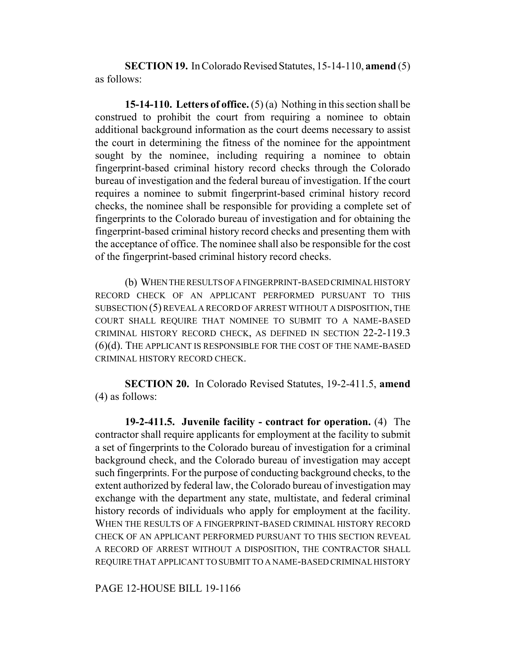**SECTION 19.** In Colorado Revised Statutes, 15-14-110, **amend** (5) as follows:

**15-14-110. Letters of office.** (5) (a) Nothing in this section shall be construed to prohibit the court from requiring a nominee to obtain additional background information as the court deems necessary to assist the court in determining the fitness of the nominee for the appointment sought by the nominee, including requiring a nominee to obtain fingerprint-based criminal history record checks through the Colorado bureau of investigation and the federal bureau of investigation. If the court requires a nominee to submit fingerprint-based criminal history record checks, the nominee shall be responsible for providing a complete set of fingerprints to the Colorado bureau of investigation and for obtaining the fingerprint-based criminal history record checks and presenting them with the acceptance of office. The nominee shall also be responsible for the cost of the fingerprint-based criminal history record checks.

(b) WHEN THE RESULTS OF A FINGERPRINT-BASED CRIMINAL HISTORY RECORD CHECK OF AN APPLICANT PERFORMED PURSUANT TO THIS SUBSECTION (5) REVEAL A RECORD OF ARREST WITHOUT A DISPOSITION, THE COURT SHALL REQUIRE THAT NOMINEE TO SUBMIT TO A NAME-BASED CRIMINAL HISTORY RECORD CHECK, AS DEFINED IN SECTION 22-2-119.3 (6)(d). THE APPLICANT IS RESPONSIBLE FOR THE COST OF THE NAME-BASED CRIMINAL HISTORY RECORD CHECK.

**SECTION 20.** In Colorado Revised Statutes, 19-2-411.5, **amend** (4) as follows:

**19-2-411.5. Juvenile facility - contract for operation.** (4) The contractor shall require applicants for employment at the facility to submit a set of fingerprints to the Colorado bureau of investigation for a criminal background check, and the Colorado bureau of investigation may accept such fingerprints. For the purpose of conducting background checks, to the extent authorized by federal law, the Colorado bureau of investigation may exchange with the department any state, multistate, and federal criminal history records of individuals who apply for employment at the facility. WHEN THE RESULTS OF A FINGERPRINT-BASED CRIMINAL HISTORY RECORD CHECK OF AN APPLICANT PERFORMED PURSUANT TO THIS SECTION REVEAL A RECORD OF ARREST WITHOUT A DISPOSITION, THE CONTRACTOR SHALL REQUIRE THAT APPLICANT TO SUBMIT TO A NAME-BASED CRIMINAL HISTORY

PAGE 12-HOUSE BILL 19-1166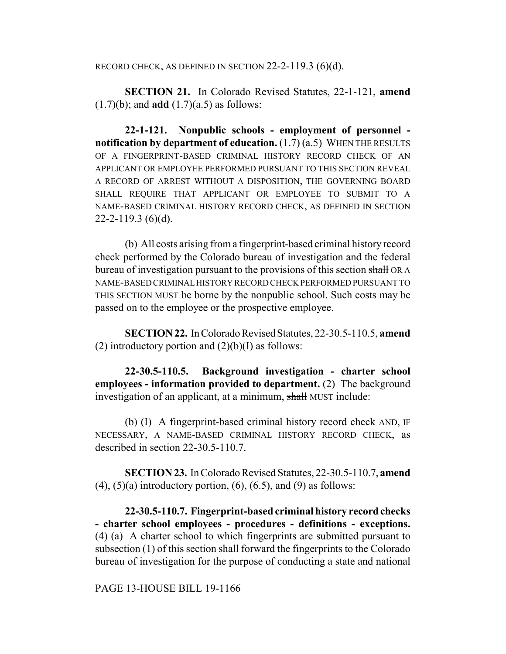RECORD CHECK, AS DEFINED IN SECTION 22-2-119.3 (6)(d).

**SECTION 21.** In Colorado Revised Statutes, 22-1-121, **amend** (1.7)(b); and **add** (1.7)(a.5) as follows:

**22-1-121. Nonpublic schools - employment of personnel notification by department of education.** (1.7) (a.5) WHEN THE RESULTS OF A FINGERPRINT-BASED CRIMINAL HISTORY RECORD CHECK OF AN APPLICANT OR EMPLOYEE PERFORMED PURSUANT TO THIS SECTION REVEAL A RECORD OF ARREST WITHOUT A DISPOSITION, THE GOVERNING BOARD SHALL REQUIRE THAT APPLICANT OR EMPLOYEE TO SUBMIT TO A NAME-BASED CRIMINAL HISTORY RECORD CHECK, AS DEFINED IN SECTION  $22 - 2 - 119.3$  (6)(d).

(b) All costs arising from a fingerprint-based criminal history record check performed by the Colorado bureau of investigation and the federal bureau of investigation pursuant to the provisions of this section shall OR A NAME-BASED CRIMINAL HISTORY RECORD CHECK PERFORMED PURSUANT TO THIS SECTION MUST be borne by the nonpublic school. Such costs may be passed on to the employee or the prospective employee.

**SECTION 22.** In Colorado Revised Statutes, 22-30.5-110.5, **amend** (2) introductory portion and  $(2)(b)(I)$  as follows:

**22-30.5-110.5. Background investigation - charter school employees - information provided to department.** (2) The background investigation of an applicant, at a minimum, shall MUST include:

(b) (I) A fingerprint-based criminal history record check AND, IF NECESSARY, A NAME-BASED CRIMINAL HISTORY RECORD CHECK, as described in section 22-30.5-110.7.

**SECTION 23.** In Colorado Revised Statutes, 22-30.5-110.7, **amend**  $(4)$ ,  $(5)(a)$  introductory portion,  $(6)$ ,  $(6.5)$ , and  $(9)$  as follows:

**22-30.5-110.7. Fingerprint-based criminal history record checks - charter school employees - procedures - definitions - exceptions.** (4) (a) A charter school to which fingerprints are submitted pursuant to subsection (1) of this section shall forward the fingerprints to the Colorado bureau of investigation for the purpose of conducting a state and national

PAGE 13-HOUSE BILL 19-1166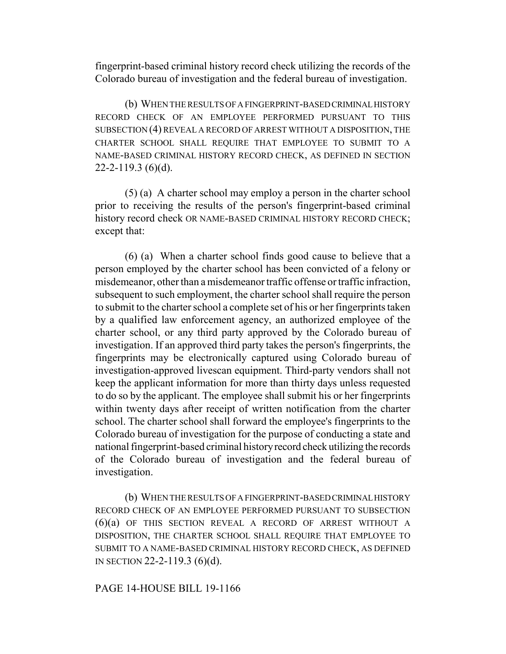fingerprint-based criminal history record check utilizing the records of the Colorado bureau of investigation and the federal bureau of investigation.

(b) WHEN THE RESULTS OF A FINGERPRINT-BASED CRIMINAL HISTORY RECORD CHECK OF AN EMPLOYEE PERFORMED PURSUANT TO THIS SUBSECTION (4) REVEAL A RECORD OF ARREST WITHOUT A DISPOSITION, THE CHARTER SCHOOL SHALL REQUIRE THAT EMPLOYEE TO SUBMIT TO A NAME-BASED CRIMINAL HISTORY RECORD CHECK, AS DEFINED IN SECTION  $22 - 2 - 119.3$  (6)(d).

(5) (a) A charter school may employ a person in the charter school prior to receiving the results of the person's fingerprint-based criminal history record check OR NAME-BASED CRIMINAL HISTORY RECORD CHECK; except that:

(6) (a) When a charter school finds good cause to believe that a person employed by the charter school has been convicted of a felony or misdemeanor, other than a misdemeanor traffic offense or traffic infraction, subsequent to such employment, the charter school shall require the person to submit to the charter school a complete set of his or her fingerprints taken by a qualified law enforcement agency, an authorized employee of the charter school, or any third party approved by the Colorado bureau of investigation. If an approved third party takes the person's fingerprints, the fingerprints may be electronically captured using Colorado bureau of investigation-approved livescan equipment. Third-party vendors shall not keep the applicant information for more than thirty days unless requested to do so by the applicant. The employee shall submit his or her fingerprints within twenty days after receipt of written notification from the charter school. The charter school shall forward the employee's fingerprints to the Colorado bureau of investigation for the purpose of conducting a state and national fingerprint-based criminal history record check utilizing the records of the Colorado bureau of investigation and the federal bureau of investigation.

(b) WHEN THE RESULTS OF A FINGERPRINT-BASED CRIMINAL HISTORY RECORD CHECK OF AN EMPLOYEE PERFORMED PURSUANT TO SUBSECTION (6)(a) OF THIS SECTION REVEAL A RECORD OF ARREST WITHOUT A DISPOSITION, THE CHARTER SCHOOL SHALL REQUIRE THAT EMPLOYEE TO SUBMIT TO A NAME-BASED CRIMINAL HISTORY RECORD CHECK, AS DEFINED IN SECTION 22-2-119.3 (6)(d).

### PAGE 14-HOUSE BILL 19-1166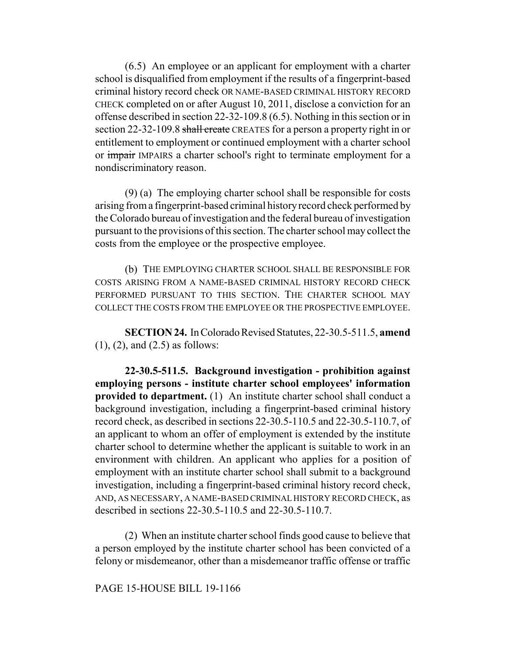(6.5) An employee or an applicant for employment with a charter school is disqualified from employment if the results of a fingerprint-based criminal history record check OR NAME-BASED CRIMINAL HISTORY RECORD CHECK completed on or after August 10, 2011, disclose a conviction for an offense described in section 22-32-109.8 (6.5). Nothing in this section or in section 22-32-109.8 shall create CREATES for a person a property right in or entitlement to employment or continued employment with a charter school or impair IMPAIRS a charter school's right to terminate employment for a nondiscriminatory reason.

(9) (a) The employing charter school shall be responsible for costs arising from a fingerprint-based criminal history record check performed by the Colorado bureau of investigation and the federal bureau of investigation pursuant to the provisions of this section. The charter school may collect the costs from the employee or the prospective employee.

(b) THE EMPLOYING CHARTER SCHOOL SHALL BE RESPONSIBLE FOR COSTS ARISING FROM A NAME-BASED CRIMINAL HISTORY RECORD CHECK PERFORMED PURSUANT TO THIS SECTION. THE CHARTER SCHOOL MAY COLLECT THE COSTS FROM THE EMPLOYEE OR THE PROSPECTIVE EMPLOYEE.

**SECTION 24.** In Colorado Revised Statutes, 22-30.5-511.5, **amend** (1), (2), and (2.5) as follows:

**22-30.5-511.5. Background investigation - prohibition against employing persons - institute charter school employees' information provided to department.** (1) An institute charter school shall conduct a background investigation, including a fingerprint-based criminal history record check, as described in sections 22-30.5-110.5 and 22-30.5-110.7, of an applicant to whom an offer of employment is extended by the institute charter school to determine whether the applicant is suitable to work in an environment with children. An applicant who applies for a position of employment with an institute charter school shall submit to a background investigation, including a fingerprint-based criminal history record check, AND, AS NECESSARY, A NAME-BASED CRIMINAL HISTORY RECORD CHECK, as described in sections 22-30.5-110.5 and 22-30.5-110.7.

(2) When an institute charter school finds good cause to believe that a person employed by the institute charter school has been convicted of a felony or misdemeanor, other than a misdemeanor traffic offense or traffic

PAGE 15-HOUSE BILL 19-1166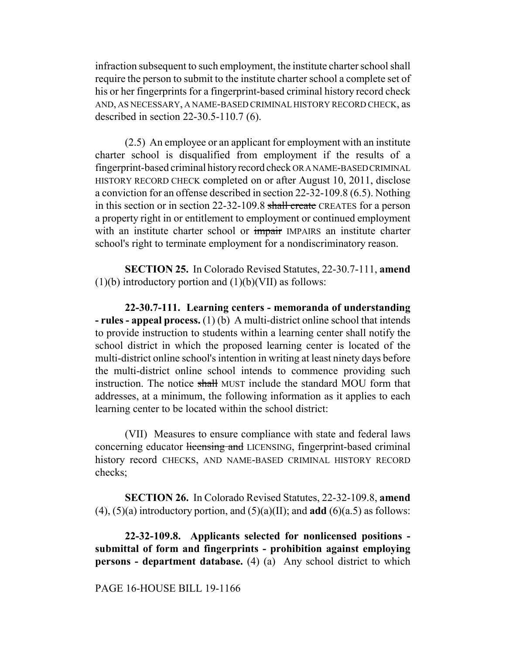infraction subsequent to such employment, the institute charter school shall require the person to submit to the institute charter school a complete set of his or her fingerprints for a fingerprint-based criminal history record check AND, AS NECESSARY, A NAME-BASED CRIMINAL HISTORY RECORD CHECK, as described in section 22-30.5-110.7 (6).

(2.5) An employee or an applicant for employment with an institute charter school is disqualified from employment if the results of a fingerprint-based criminal history record check OR A NAME-BASED CRIMINAL HISTORY RECORD CHECK completed on or after August 10, 2011, disclose a conviction for an offense described in section 22-32-109.8 (6.5). Nothing in this section or in section 22-32-109.8 shall create CREATES for a person a property right in or entitlement to employment or continued employment with an institute charter school or impair IMPAIRS an institute charter school's right to terminate employment for a nondiscriminatory reason.

**SECTION 25.** In Colorado Revised Statutes, 22-30.7-111, **amend**  $(1)(b)$  introductory portion and  $(1)(b)(VII)$  as follows:

**22-30.7-111. Learning centers - memoranda of understanding - rules - appeal process.** (1) (b) A multi-district online school that intends to provide instruction to students within a learning center shall notify the school district in which the proposed learning center is located of the multi-district online school's intention in writing at least ninety days before the multi-district online school intends to commence providing such instruction. The notice shall MUST include the standard MOU form that addresses, at a minimum, the following information as it applies to each learning center to be located within the school district:

(VII) Measures to ensure compliance with state and federal laws concerning educator licensing and LICENSING, fingerprint-based criminal history record CHECKS, AND NAME-BASED CRIMINAL HISTORY RECORD checks;

**SECTION 26.** In Colorado Revised Statutes, 22-32-109.8, **amend** (4), (5)(a) introductory portion, and (5)(a)(II); and **add** (6)(a.5) as follows:

**22-32-109.8. Applicants selected for nonlicensed positions submittal of form and fingerprints - prohibition against employing persons - department database.** (4) (a) Any school district to which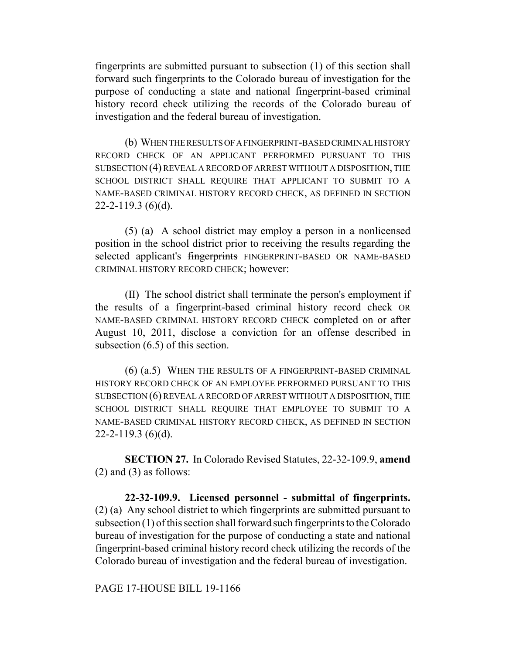fingerprints are submitted pursuant to subsection (1) of this section shall forward such fingerprints to the Colorado bureau of investigation for the purpose of conducting a state and national fingerprint-based criminal history record check utilizing the records of the Colorado bureau of investigation and the federal bureau of investigation.

(b) WHEN THE RESULTS OF A FINGERPRINT-BASED CRIMINAL HISTORY RECORD CHECK OF AN APPLICANT PERFORMED PURSUANT TO THIS SUBSECTION (4) REVEAL A RECORD OF ARREST WITHOUT A DISPOSITION, THE SCHOOL DISTRICT SHALL REQUIRE THAT APPLICANT TO SUBMIT TO A NAME-BASED CRIMINAL HISTORY RECORD CHECK, AS DEFINED IN SECTION  $22 - 2 - 119.3$  (6)(d).

(5) (a) A school district may employ a person in a nonlicensed position in the school district prior to receiving the results regarding the selected applicant's fingerprints FINGERPRINT-BASED OR NAME-BASED CRIMINAL HISTORY RECORD CHECK; however:

(II) The school district shall terminate the person's employment if the results of a fingerprint-based criminal history record check OR NAME-BASED CRIMINAL HISTORY RECORD CHECK completed on or after August 10, 2011, disclose a conviction for an offense described in subsection (6.5) of this section.

(6) (a.5) WHEN THE RESULTS OF A FINGERPRINT-BASED CRIMINAL HISTORY RECORD CHECK OF AN EMPLOYEE PERFORMED PURSUANT TO THIS SUBSECTION (6) REVEAL A RECORD OF ARREST WITHOUT A DISPOSITION, THE SCHOOL DISTRICT SHALL REQUIRE THAT EMPLOYEE TO SUBMIT TO A NAME-BASED CRIMINAL HISTORY RECORD CHECK, AS DEFINED IN SECTION  $22 - 2 - 119.3$  (6)(d).

**SECTION 27.** In Colorado Revised Statutes, 22-32-109.9, **amend**  $(2)$  and  $(3)$  as follows:

**22-32-109.9. Licensed personnel - submittal of fingerprints.** (2) (a) Any school district to which fingerprints are submitted pursuant to subsection (1) of this section shall forward such fingerprints to the Colorado bureau of investigation for the purpose of conducting a state and national fingerprint-based criminal history record check utilizing the records of the Colorado bureau of investigation and the federal bureau of investigation.

PAGE 17-HOUSE BILL 19-1166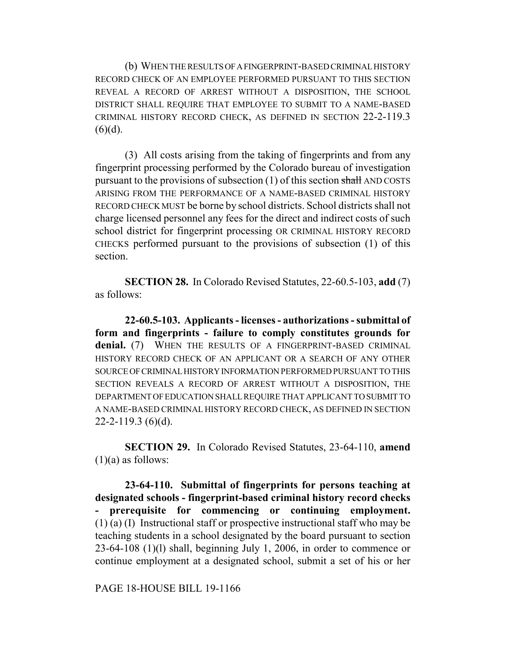(b) WHEN THE RESULTS OF A FINGERPRINT-BASED CRIMINAL HISTORY RECORD CHECK OF AN EMPLOYEE PERFORMED PURSUANT TO THIS SECTION REVEAL A RECORD OF ARREST WITHOUT A DISPOSITION, THE SCHOOL DISTRICT SHALL REQUIRE THAT EMPLOYEE TO SUBMIT TO A NAME-BASED CRIMINAL HISTORY RECORD CHECK, AS DEFINED IN SECTION 22-2-119.3  $(6)(d)$ .

(3) All costs arising from the taking of fingerprints and from any fingerprint processing performed by the Colorado bureau of investigation pursuant to the provisions of subsection  $(1)$  of this section shall AND COSTS ARISING FROM THE PERFORMANCE OF A NAME-BASED CRIMINAL HISTORY RECORD CHECK MUST be borne by school districts. School districts shall not charge licensed personnel any fees for the direct and indirect costs of such school district for fingerprint processing OR CRIMINAL HISTORY RECORD CHECKS performed pursuant to the provisions of subsection (1) of this section.

**SECTION 28.** In Colorado Revised Statutes, 22-60.5-103, **add** (7) as follows:

**22-60.5-103. Applicants - licenses - authorizations - submittal of form and fingerprints - failure to comply constitutes grounds for denial.** (7) WHEN THE RESULTS OF A FINGERPRINT-BASED CRIMINAL HISTORY RECORD CHECK OF AN APPLICANT OR A SEARCH OF ANY OTHER SOURCE OF CRIMINAL HISTORY INFORMATION PERFORMED PURSUANT TO THIS SECTION REVEALS A RECORD OF ARREST WITHOUT A DISPOSITION, THE DEPARTMENT OF EDUCATION SHALL REQUIRE THAT APPLICANT TO SUBMIT TO A NAME-BASED CRIMINAL HISTORY RECORD CHECK, AS DEFINED IN SECTION  $22 - 2 - 119.3$  (6)(d).

**SECTION 29.** In Colorado Revised Statutes, 23-64-110, **amend**  $(1)(a)$  as follows:

**23-64-110. Submittal of fingerprints for persons teaching at designated schools - fingerprint-based criminal history record checks - prerequisite for commencing or continuing employment.** (1) (a) (I) Instructional staff or prospective instructional staff who may be teaching students in a school designated by the board pursuant to section 23-64-108 (1)(l) shall, beginning July 1, 2006, in order to commence or continue employment at a designated school, submit a set of his or her

PAGE 18-HOUSE BILL 19-1166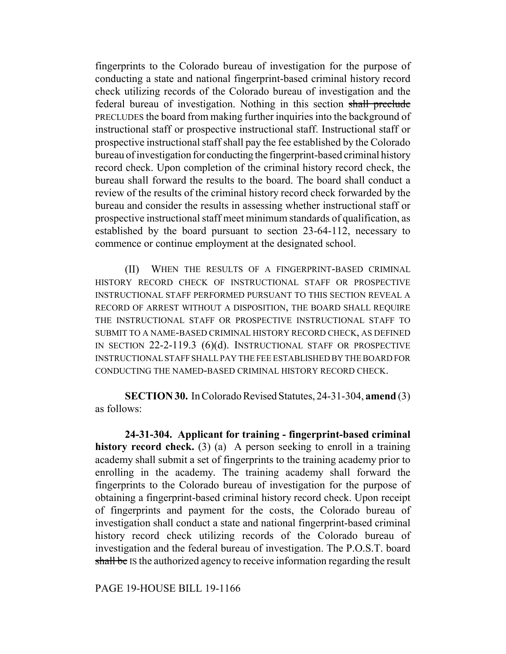fingerprints to the Colorado bureau of investigation for the purpose of conducting a state and national fingerprint-based criminal history record check utilizing records of the Colorado bureau of investigation and the federal bureau of investigation. Nothing in this section shall preclude PRECLUDES the board from making further inquiries into the background of instructional staff or prospective instructional staff. Instructional staff or prospective instructional staff shall pay the fee established by the Colorado bureau of investigation for conducting the fingerprint-based criminal history record check. Upon completion of the criminal history record check, the bureau shall forward the results to the board. The board shall conduct a review of the results of the criminal history record check forwarded by the bureau and consider the results in assessing whether instructional staff or prospective instructional staff meet minimum standards of qualification, as established by the board pursuant to section 23-64-112, necessary to commence or continue employment at the designated school.

(II) WHEN THE RESULTS OF A FINGERPRINT-BASED CRIMINAL HISTORY RECORD CHECK OF INSTRUCTIONAL STAFF OR PROSPECTIVE INSTRUCTIONAL STAFF PERFORMED PURSUANT TO THIS SECTION REVEAL A RECORD OF ARREST WITHOUT A DISPOSITION, THE BOARD SHALL REQUIRE THE INSTRUCTIONAL STAFF OR PROSPECTIVE INSTRUCTIONAL STAFF TO SUBMIT TO A NAME-BASED CRIMINAL HISTORY RECORD CHECK, AS DEFINED IN SECTION 22-2-119.3 (6)(d). INSTRUCTIONAL STAFF OR PROSPECTIVE INSTRUCTIONAL STAFF SHALL PAY THE FEE ESTABLISHED BY THE BOARD FOR CONDUCTING THE NAMED-BASED CRIMINAL HISTORY RECORD CHECK.

**SECTION 30.** In Colorado Revised Statutes, 24-31-304, **amend** (3) as follows:

**24-31-304. Applicant for training - fingerprint-based criminal history record check.** (3) (a) A person seeking to enroll in a training academy shall submit a set of fingerprints to the training academy prior to enrolling in the academy. The training academy shall forward the fingerprints to the Colorado bureau of investigation for the purpose of obtaining a fingerprint-based criminal history record check. Upon receipt of fingerprints and payment for the costs, the Colorado bureau of investigation shall conduct a state and national fingerprint-based criminal history record check utilizing records of the Colorado bureau of investigation and the federal bureau of investigation. The P.O.S.T. board shall be IS the authorized agency to receive information regarding the result

PAGE 19-HOUSE BILL 19-1166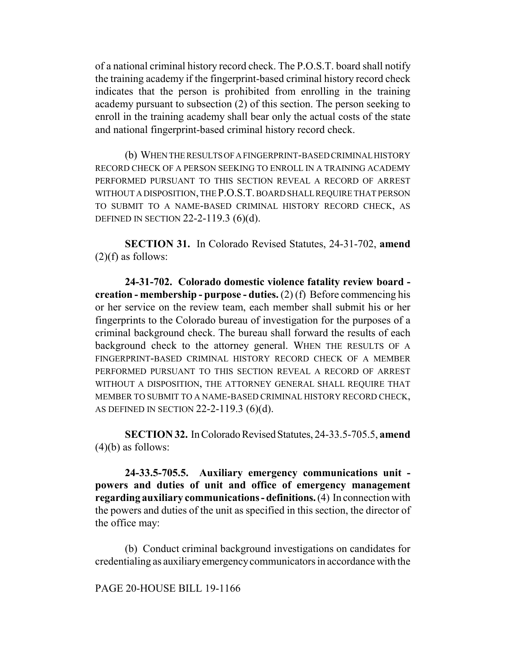of a national criminal history record check. The P.O.S.T. board shall notify the training academy if the fingerprint-based criminal history record check indicates that the person is prohibited from enrolling in the training academy pursuant to subsection (2) of this section. The person seeking to enroll in the training academy shall bear only the actual costs of the state and national fingerprint-based criminal history record check.

(b) WHEN THE RESULTS OF A FINGERPRINT-BASED CRIMINAL HISTORY RECORD CHECK OF A PERSON SEEKING TO ENROLL IN A TRAINING ACADEMY PERFORMED PURSUANT TO THIS SECTION REVEAL A RECORD OF ARREST WITHOUT A DISPOSITION, THE P.O.S.T. BOARD SHALL REQUIRE THAT PERSON TO SUBMIT TO A NAME-BASED CRIMINAL HISTORY RECORD CHECK, AS DEFINED IN SECTION 22-2-119.3 (6)(d).

**SECTION 31.** In Colorado Revised Statutes, 24-31-702, **amend**  $(2)(f)$  as follows:

**24-31-702. Colorado domestic violence fatality review board creation - membership - purpose - duties.** (2) (f) Before commencing his or her service on the review team, each member shall submit his or her fingerprints to the Colorado bureau of investigation for the purposes of a criminal background check. The bureau shall forward the results of each background check to the attorney general. WHEN THE RESULTS OF A FINGERPRINT-BASED CRIMINAL HISTORY RECORD CHECK OF A MEMBER PERFORMED PURSUANT TO THIS SECTION REVEAL A RECORD OF ARREST WITHOUT A DISPOSITION, THE ATTORNEY GENERAL SHALL REQUIRE THAT MEMBER TO SUBMIT TO A NAME-BASED CRIMINAL HISTORY RECORD CHECK, AS DEFINED IN SECTION 22-2-119.3 (6)(d).

**SECTION 32.** In Colorado Revised Statutes, 24-33.5-705.5, **amend**  $(4)(b)$  as follows:

**24-33.5-705.5. Auxiliary emergency communications unit powers and duties of unit and office of emergency management regarding auxiliary communications - definitions.** (4) In connection with the powers and duties of the unit as specified in this section, the director of the office may:

(b) Conduct criminal background investigations on candidates for credentialing as auxiliary emergency communicators in accordance with the

# PAGE 20-HOUSE BILL 19-1166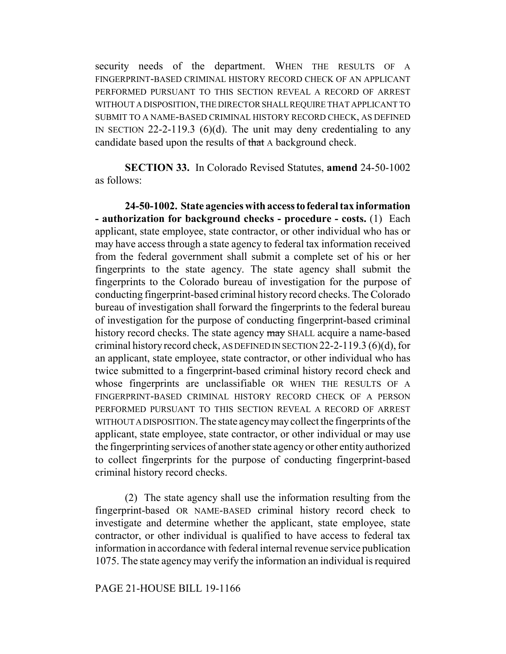security needs of the department. WHEN THE RESULTS OF A FINGERPRINT-BASED CRIMINAL HISTORY RECORD CHECK OF AN APPLICANT PERFORMED PURSUANT TO THIS SECTION REVEAL A RECORD OF ARREST WITHOUT A DISPOSITION, THE DIRECTOR SHALL REQUIRE THAT APPLICANT TO SUBMIT TO A NAME-BASED CRIMINAL HISTORY RECORD CHECK, AS DEFINED IN SECTION 22-2-119.3 (6)(d). The unit may deny credentialing to any candidate based upon the results of that A background check.

**SECTION 33.** In Colorado Revised Statutes, **amend** 24-50-1002 as follows:

**24-50-1002. State agencies with access to federal tax information - authorization for background checks - procedure - costs.** (1) Each applicant, state employee, state contractor, or other individual who has or may have access through a state agency to federal tax information received from the federal government shall submit a complete set of his or her fingerprints to the state agency. The state agency shall submit the fingerprints to the Colorado bureau of investigation for the purpose of conducting fingerprint-based criminal history record checks. The Colorado bureau of investigation shall forward the fingerprints to the federal bureau of investigation for the purpose of conducting fingerprint-based criminal history record checks. The state agency may SHALL acquire a name-based criminal history record check, AS DEFINED IN SECTION 22-2-119.3 (6)(d), for an applicant, state employee, state contractor, or other individual who has twice submitted to a fingerprint-based criminal history record check and whose fingerprints are unclassifiable OR WHEN THE RESULTS OF A FINGERPRINT-BASED CRIMINAL HISTORY RECORD CHECK OF A PERSON PERFORMED PURSUANT TO THIS SECTION REVEAL A RECORD OF ARREST WITHOUT A DISPOSITION. The state agency may collect the fingerprints of the applicant, state employee, state contractor, or other individual or may use the fingerprinting services of another state agency or other entity authorized to collect fingerprints for the purpose of conducting fingerprint-based criminal history record checks.

(2) The state agency shall use the information resulting from the fingerprint-based OR NAME-BASED criminal history record check to investigate and determine whether the applicant, state employee, state contractor, or other individual is qualified to have access to federal tax information in accordance with federal internal revenue service publication 1075. The state agency may verify the information an individual is required

# PAGE 21-HOUSE BILL 19-1166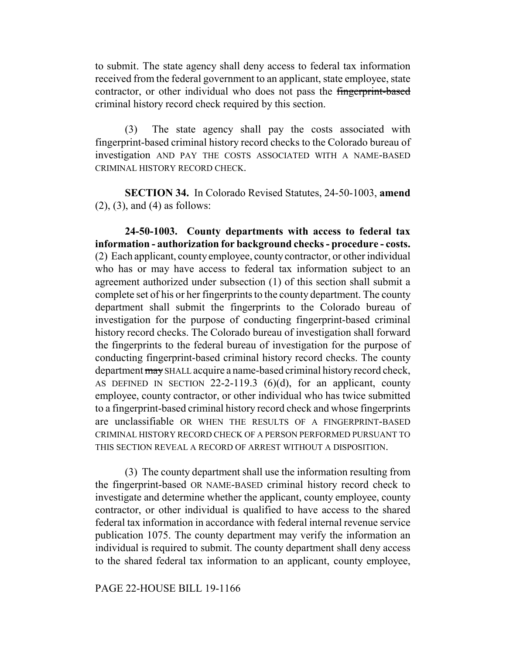to submit. The state agency shall deny access to federal tax information received from the federal government to an applicant, state employee, state contractor, or other individual who does not pass the fingerprint-based criminal history record check required by this section.

(3) The state agency shall pay the costs associated with fingerprint-based criminal history record checks to the Colorado bureau of investigation AND PAY THE COSTS ASSOCIATED WITH A NAME-BASED CRIMINAL HISTORY RECORD CHECK.

**SECTION 34.** In Colorado Revised Statutes, 24-50-1003, **amend** (2), (3), and (4) as follows:

**24-50-1003. County departments with access to federal tax information - authorization for background checks - procedure - costs.** (2) Each applicant, county employee, county contractor, or other individual who has or may have access to federal tax information subject to an agreement authorized under subsection (1) of this section shall submit a complete set of his or her fingerprints to the county department. The county department shall submit the fingerprints to the Colorado bureau of investigation for the purpose of conducting fingerprint-based criminal history record checks. The Colorado bureau of investigation shall forward the fingerprints to the federal bureau of investigation for the purpose of conducting fingerprint-based criminal history record checks. The county department may SHALL acquire a name-based criminal history record check, AS DEFINED IN SECTION 22-2-119.3  $(6)(d)$ , for an applicant, county employee, county contractor, or other individual who has twice submitted to a fingerprint-based criminal history record check and whose fingerprints are unclassifiable OR WHEN THE RESULTS OF A FINGERPRINT-BASED CRIMINAL HISTORY RECORD CHECK OF A PERSON PERFORMED PURSUANT TO THIS SECTION REVEAL A RECORD OF ARREST WITHOUT A DISPOSITION.

(3) The county department shall use the information resulting from the fingerprint-based OR NAME-BASED criminal history record check to investigate and determine whether the applicant, county employee, county contractor, or other individual is qualified to have access to the shared federal tax information in accordance with federal internal revenue service publication 1075. The county department may verify the information an individual is required to submit. The county department shall deny access to the shared federal tax information to an applicant, county employee,

# PAGE 22-HOUSE BILL 19-1166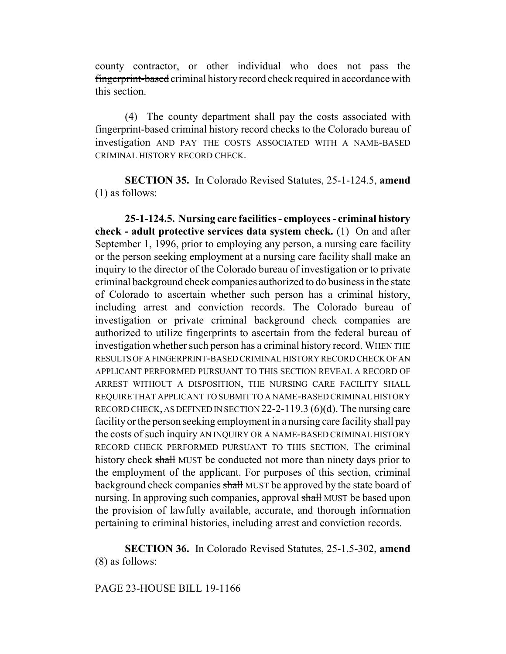county contractor, or other individual who does not pass the fingerprint-based criminal history record check required in accordance with this section.

(4) The county department shall pay the costs associated with fingerprint-based criminal history record checks to the Colorado bureau of investigation AND PAY THE COSTS ASSOCIATED WITH A NAME-BASED CRIMINAL HISTORY RECORD CHECK.

**SECTION 35.** In Colorado Revised Statutes, 25-1-124.5, **amend** (1) as follows:

**25-1-124.5. Nursing care facilities - employees - criminal history check - adult protective services data system check.** (1) On and after September 1, 1996, prior to employing any person, a nursing care facility or the person seeking employment at a nursing care facility shall make an inquiry to the director of the Colorado bureau of investigation or to private criminal background check companies authorized to do business in the state of Colorado to ascertain whether such person has a criminal history, including arrest and conviction records. The Colorado bureau of investigation or private criminal background check companies are authorized to utilize fingerprints to ascertain from the federal bureau of investigation whether such person has a criminal history record. WHEN THE RESULTS OF A FINGERPRINT-BASED CRIMINAL HISTORY RECORD CHECK OF AN APPLICANT PERFORMED PURSUANT TO THIS SECTION REVEAL A RECORD OF ARREST WITHOUT A DISPOSITION, THE NURSING CARE FACILITY SHALL REQUIRE THAT APPLICANT TO SUBMIT TO A NAME-BASED CRIMINAL HISTORY RECORD CHECK, AS DEFINED IN SECTION 22-2-119.3 (6)(d). The nursing care facility or the person seeking employment in a nursing care facility shall pay the costs of such inquiry AN INQUIRY OR A NAME-BASED CRIMINAL HISTORY RECORD CHECK PERFORMED PURSUANT TO THIS SECTION. The criminal history check shall MUST be conducted not more than ninety days prior to the employment of the applicant. For purposes of this section, criminal background check companies shall MUST be approved by the state board of nursing. In approving such companies, approval shall MUST be based upon the provision of lawfully available, accurate, and thorough information pertaining to criminal histories, including arrest and conviction records.

**SECTION 36.** In Colorado Revised Statutes, 25-1.5-302, **amend** (8) as follows:

# PAGE 23-HOUSE BILL 19-1166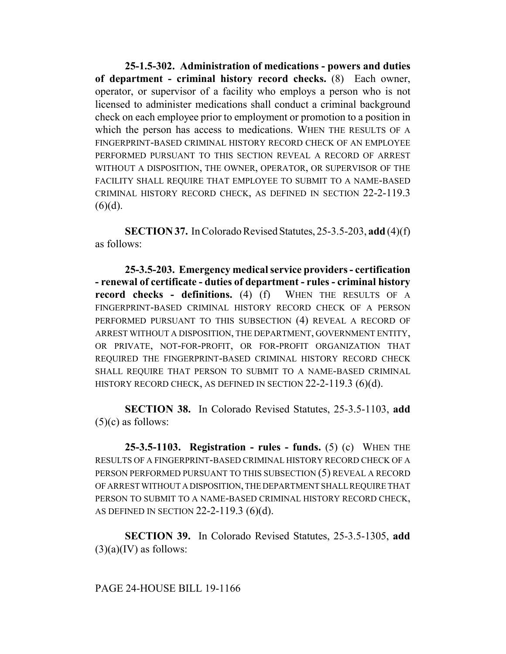**25-1.5-302. Administration of medications - powers and duties of department - criminal history record checks.** (8) Each owner, operator, or supervisor of a facility who employs a person who is not licensed to administer medications shall conduct a criminal background check on each employee prior to employment or promotion to a position in which the person has access to medications. WHEN THE RESULTS OF A FINGERPRINT-BASED CRIMINAL HISTORY RECORD CHECK OF AN EMPLOYEE PERFORMED PURSUANT TO THIS SECTION REVEAL A RECORD OF ARREST WITHOUT A DISPOSITION, THE OWNER, OPERATOR, OR SUPERVISOR OF THE FACILITY SHALL REQUIRE THAT EMPLOYEE TO SUBMIT TO A NAME-BASED CRIMINAL HISTORY RECORD CHECK, AS DEFINED IN SECTION 22-2-119.3  $(6)(d)$ .

**SECTION 37.** In Colorado Revised Statutes, 25-3.5-203, **add** (4)(f) as follows:

**25-3.5-203. Emergency medical service providers - certification - renewal of certificate - duties of department - rules - criminal history record checks - definitions.** (4) (f) WHEN THE RESULTS OF A FINGERPRINT-BASED CRIMINAL HISTORY RECORD CHECK OF A PERSON PERFORMED PURSUANT TO THIS SUBSECTION (4) REVEAL A RECORD OF ARREST WITHOUT A DISPOSITION, THE DEPARTMENT, GOVERNMENT ENTITY, OR PRIVATE, NOT-FOR-PROFIT, OR FOR-PROFIT ORGANIZATION THAT REQUIRED THE FINGERPRINT-BASED CRIMINAL HISTORY RECORD CHECK SHALL REQUIRE THAT PERSON TO SUBMIT TO A NAME-BASED CRIMINAL HISTORY RECORD CHECK, AS DEFINED IN SECTION 22-2-119.3 (6)(d).

**SECTION 38.** In Colorado Revised Statutes, 25-3.5-1103, **add**  $(5)(c)$  as follows:

**25-3.5-1103. Registration - rules - funds.** (5) (c) WHEN THE RESULTS OF A FINGERPRINT-BASED CRIMINAL HISTORY RECORD CHECK OF A PERSON PERFORMED PURSUANT TO THIS SUBSECTION (5) REVEAL A RECORD OF ARREST WITHOUT A DISPOSITION, THE DEPARTMENT SHALL REQUIRE THAT PERSON TO SUBMIT TO A NAME-BASED CRIMINAL HISTORY RECORD CHECK, AS DEFINED IN SECTION 22-2-119.3 (6)(d).

**SECTION 39.** In Colorado Revised Statutes, 25-3.5-1305, **add**  $(3)(a)(IV)$  as follows: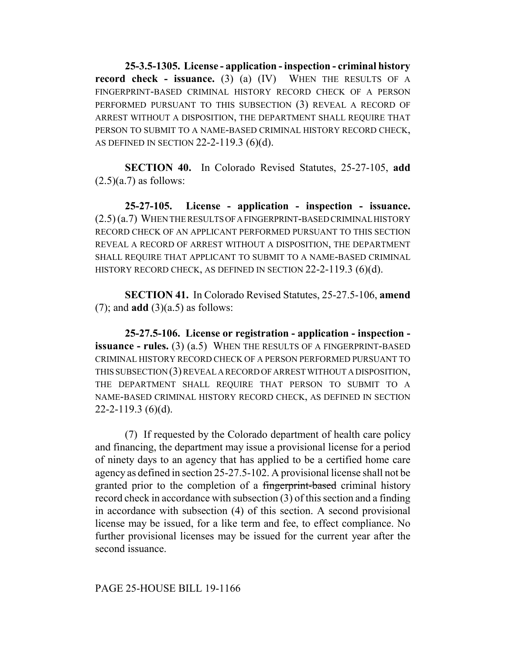**25-3.5-1305. License - application - inspection - criminal history record check - issuance.** (3) (a) (IV) WHEN THE RESULTS OF A FINGERPRINT-BASED CRIMINAL HISTORY RECORD CHECK OF A PERSON PERFORMED PURSUANT TO THIS SUBSECTION (3) REVEAL A RECORD OF ARREST WITHOUT A DISPOSITION, THE DEPARTMENT SHALL REQUIRE THAT PERSON TO SUBMIT TO A NAME-BASED CRIMINAL HISTORY RECORD CHECK, AS DEFINED IN SECTION 22-2-119.3 (6)(d).

**SECTION 40.** In Colorado Revised Statutes, 25-27-105, **add**  $(2.5)(a.7)$  as follows:

**25-27-105. License - application - inspection - issuance.** (2.5) (a.7) WHEN THE RESULTS OF A FINGERPRINT-BASED CRIMINAL HISTORY RECORD CHECK OF AN APPLICANT PERFORMED PURSUANT TO THIS SECTION REVEAL A RECORD OF ARREST WITHOUT A DISPOSITION, THE DEPARTMENT SHALL REQUIRE THAT APPLICANT TO SUBMIT TO A NAME-BASED CRIMINAL HISTORY RECORD CHECK, AS DEFINED IN SECTION 22-2-119.3 (6)(d).

**SECTION 41.** In Colorado Revised Statutes, 25-27.5-106, **amend**  $(7)$ ; and **add**  $(3)(a.5)$  as follows:

**25-27.5-106. License or registration - application - inspection issuance - rules.** (3) (a.5) WHEN THE RESULTS OF A FINGERPRINT-BASED CRIMINAL HISTORY RECORD CHECK OF A PERSON PERFORMED PURSUANT TO THIS SUBSECTION (3) REVEAL A RECORD OF ARREST WITHOUT A DISPOSITION, THE DEPARTMENT SHALL REQUIRE THAT PERSON TO SUBMIT TO A NAME-BASED CRIMINAL HISTORY RECORD CHECK, AS DEFINED IN SECTION  $22 - 2 - 119.3$  (6)(d).

(7) If requested by the Colorado department of health care policy and financing, the department may issue a provisional license for a period of ninety days to an agency that has applied to be a certified home care agency as defined in section 25-27.5-102. A provisional license shall not be granted prior to the completion of a fingerprint-based criminal history record check in accordance with subsection (3) of this section and a finding in accordance with subsection (4) of this section. A second provisional license may be issued, for a like term and fee, to effect compliance. No further provisional licenses may be issued for the current year after the second issuance.

### PAGE 25-HOUSE BILL 19-1166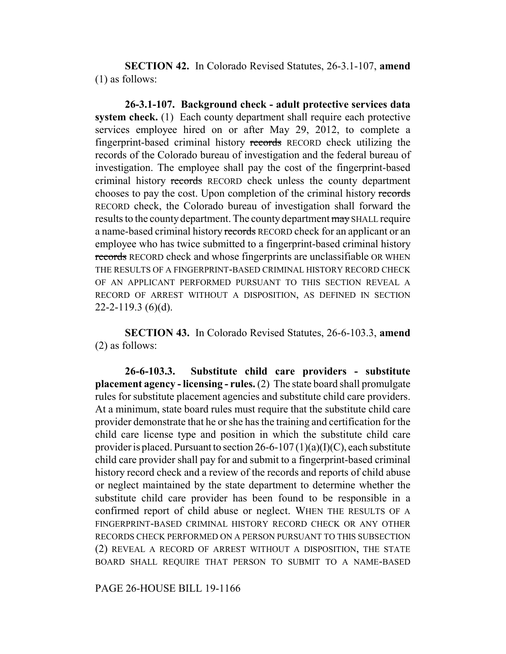**SECTION 42.** In Colorado Revised Statutes, 26-3.1-107, **amend** (1) as follows:

**26-3.1-107. Background check - adult protective services data system check.** (1) Each county department shall require each protective services employee hired on or after May 29, 2012, to complete a fingerprint-based criminal history records RECORD check utilizing the records of the Colorado bureau of investigation and the federal bureau of investigation. The employee shall pay the cost of the fingerprint-based criminal history records RECORD check unless the county department chooses to pay the cost. Upon completion of the criminal history records RECORD check, the Colorado bureau of investigation shall forward the results to the county department. The county department may SHALL require a name-based criminal history records RECORD check for an applicant or an employee who has twice submitted to a fingerprint-based criminal history records RECORD check and whose fingerprints are unclassifiable OR WHEN THE RESULTS OF A FINGERPRINT-BASED CRIMINAL HISTORY RECORD CHECK OF AN APPLICANT PERFORMED PURSUANT TO THIS SECTION REVEAL A RECORD OF ARREST WITHOUT A DISPOSITION, AS DEFINED IN SECTION  $22 - 2 - 119.3$  (6)(d).

**SECTION 43.** In Colorado Revised Statutes, 26-6-103.3, **amend** (2) as follows:

**26-6-103.3. Substitute child care providers - substitute placement agency - licensing - rules.** (2) The state board shall promulgate rules for substitute placement agencies and substitute child care providers. At a minimum, state board rules must require that the substitute child care provider demonstrate that he or she has the training and certification for the child care license type and position in which the substitute child care provider is placed. Pursuant to section  $26-6-107(1)(a)(I)(C)$ , each substitute child care provider shall pay for and submit to a fingerprint-based criminal history record check and a review of the records and reports of child abuse or neglect maintained by the state department to determine whether the substitute child care provider has been found to be responsible in a confirmed report of child abuse or neglect. WHEN THE RESULTS OF A FINGERPRINT-BASED CRIMINAL HISTORY RECORD CHECK OR ANY OTHER RECORDS CHECK PERFORMED ON A PERSON PURSUANT TO THIS SUBSECTION (2) REVEAL A RECORD OF ARREST WITHOUT A DISPOSITION, THE STATE BOARD SHALL REQUIRE THAT PERSON TO SUBMIT TO A NAME-BASED

PAGE 26-HOUSE BILL 19-1166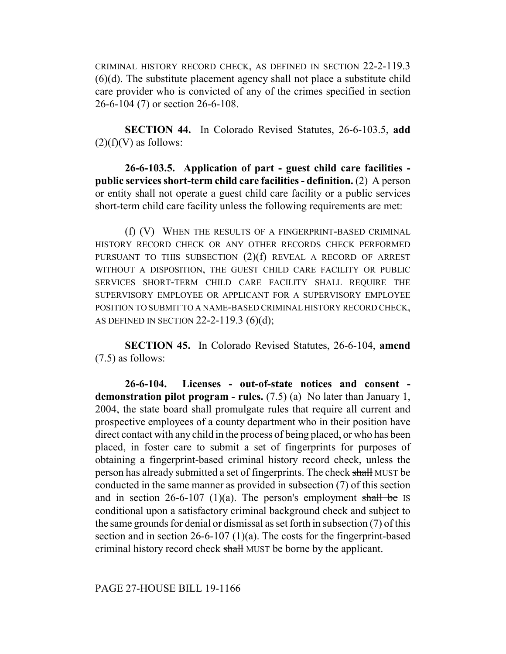CRIMINAL HISTORY RECORD CHECK, AS DEFINED IN SECTION 22-2-119.3 (6)(d). The substitute placement agency shall not place a substitute child care provider who is convicted of any of the crimes specified in section 26-6-104 (7) or section 26-6-108.

**SECTION 44.** In Colorado Revised Statutes, 26-6-103.5, **add**  $(2)(f)(V)$  as follows:

**26-6-103.5. Application of part - guest child care facilities public services short-term child care facilities - definition.** (2) A person or entity shall not operate a guest child care facility or a public services short-term child care facility unless the following requirements are met:

(f) (V) WHEN THE RESULTS OF A FINGERPRINT-BASED CRIMINAL HISTORY RECORD CHECK OR ANY OTHER RECORDS CHECK PERFORMED PURSUANT TO THIS SUBSECTION  $(2)(f)$  REVEAL A RECORD OF ARREST WITHOUT A DISPOSITION, THE GUEST CHILD CARE FACILITY OR PUBLIC SERVICES SHORT-TERM CHILD CARE FACILITY SHALL REQUIRE THE SUPERVISORY EMPLOYEE OR APPLICANT FOR A SUPERVISORY EMPLOYEE POSITION TO SUBMIT TO A NAME-BASED CRIMINAL HISTORY RECORD CHECK, AS DEFINED IN SECTION 22-2-119.3 (6)(d);

**SECTION 45.** In Colorado Revised Statutes, 26-6-104, **amend** (7.5) as follows:

**26-6-104. Licenses - out-of-state notices and consent demonstration pilot program - rules.** (7.5) (a) No later than January 1, 2004, the state board shall promulgate rules that require all current and prospective employees of a county department who in their position have direct contact with any child in the process of being placed, or who has been placed, in foster care to submit a set of fingerprints for purposes of obtaining a fingerprint-based criminal history record check, unless the person has already submitted a set of fingerprints. The check shall MUST be conducted in the same manner as provided in subsection (7) of this section and in section 26-6-107 (1)(a). The person's employment shall be IS conditional upon a satisfactory criminal background check and subject to the same grounds for denial or dismissal as set forth in subsection (7) of this section and in section 26-6-107 (1)(a). The costs for the fingerprint-based criminal history record check shall MUST be borne by the applicant.

PAGE 27-HOUSE BILL 19-1166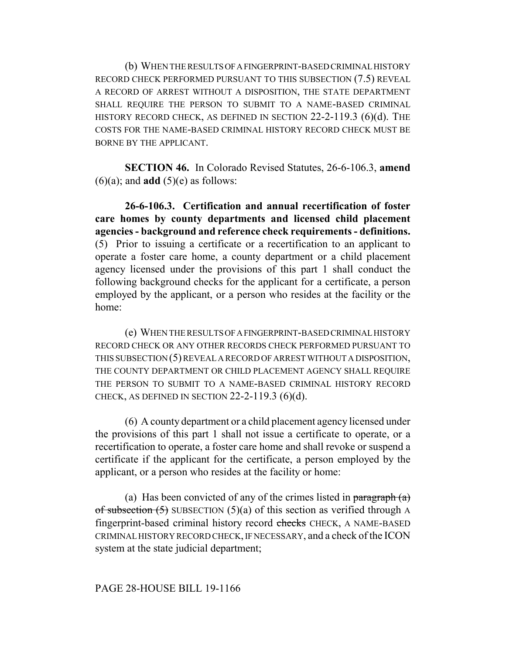(b) WHEN THE RESULTS OF A FINGERPRINT-BASED CRIMINAL HISTORY RECORD CHECK PERFORMED PURSUANT TO THIS SUBSECTION (7.5) REVEAL A RECORD OF ARREST WITHOUT A DISPOSITION, THE STATE DEPARTMENT SHALL REQUIRE THE PERSON TO SUBMIT TO A NAME-BASED CRIMINAL HISTORY RECORD CHECK, AS DEFINED IN SECTION 22-2-119.3 (6)(d). THE COSTS FOR THE NAME-BASED CRIMINAL HISTORY RECORD CHECK MUST BE BORNE BY THE APPLICANT.

**SECTION 46.** In Colorado Revised Statutes, 26-6-106.3, **amend**  $(6)(a)$ ; and **add**  $(5)(e)$  as follows:

**26-6-106.3. Certification and annual recertification of foster care homes by county departments and licensed child placement agencies - background and reference check requirements - definitions.** (5) Prior to issuing a certificate or a recertification to an applicant to operate a foster care home, a county department or a child placement agency licensed under the provisions of this part 1 shall conduct the following background checks for the applicant for a certificate, a person employed by the applicant, or a person who resides at the facility or the home:

(e) WHEN THE RESULTS OF A FINGERPRINT-BASED CRIMINAL HISTORY RECORD CHECK OR ANY OTHER RECORDS CHECK PERFORMED PURSUANT TO THIS SUBSECTION (5) REVEAL A RECORD OF ARREST WITHOUT A DISPOSITION, THE COUNTY DEPARTMENT OR CHILD PLACEMENT AGENCY SHALL REQUIRE THE PERSON TO SUBMIT TO A NAME-BASED CRIMINAL HISTORY RECORD CHECK, AS DEFINED IN SECTION  $22-2-119.3$  (6)(d).

(6) A county department or a child placement agency licensed under the provisions of this part 1 shall not issue a certificate to operate, or a recertification to operate, a foster care home and shall revoke or suspend a certificate if the applicant for the certificate, a person employed by the applicant, or a person who resides at the facility or home:

(a) Has been convicted of any of the crimes listed in  $\frac{\partial^2 f}{\partial x^2}$ of subsection  $(5)$  SUBSECTION  $(5)(a)$  of this section as verified through A fingerprint-based criminal history record checks CHECK, A NAME-BASED CRIMINAL HISTORY RECORD CHECK, IF NECESSARY, and a check of the ICON system at the state judicial department;

### PAGE 28-HOUSE BILL 19-1166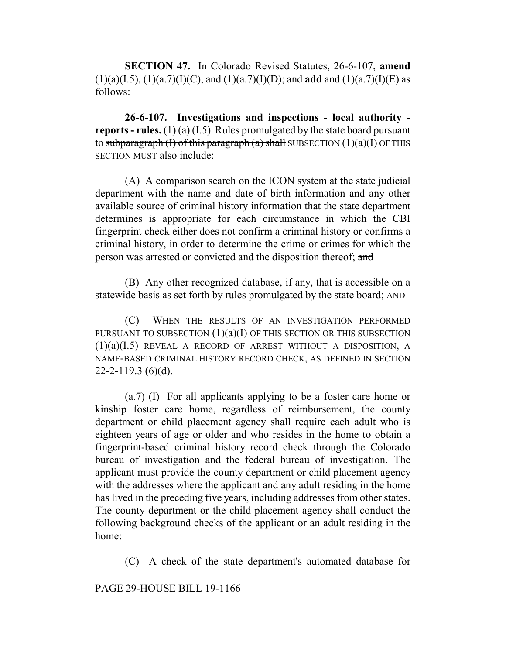**SECTION 47.** In Colorado Revised Statutes, 26-6-107, **amend** (1)(a)(I.5), (1)(a.7)(I)(C), and (1)(a.7)(I)(D); and **add** and (1)(a.7)(I)(E) as follows:

**26-6-107. Investigations and inspections - local authority reports - rules.** (1) (a) (I.5) Rules promulgated by the state board pursuant to subparagraph (I) of this paragraph (a) shall SUBSECTION  $(1)(a)(I)$  OF THIS SECTION MUST also include:

(A) A comparison search on the ICON system at the state judicial department with the name and date of birth information and any other available source of criminal history information that the state department determines is appropriate for each circumstance in which the CBI fingerprint check either does not confirm a criminal history or confirms a criminal history, in order to determine the crime or crimes for which the person was arrested or convicted and the disposition thereof; and

(B) Any other recognized database, if any, that is accessible on a statewide basis as set forth by rules promulgated by the state board; AND

(C) WHEN THE RESULTS OF AN INVESTIGATION PERFORMED PURSUANT TO SUBSECTION  $(1)(a)(I)$  OF THIS SECTION OR THIS SUBSECTION (1)(a)(I.5) REVEAL A RECORD OF ARREST WITHOUT A DISPOSITION, A NAME-BASED CRIMINAL HISTORY RECORD CHECK, AS DEFINED IN SECTION  $22 - 2 - 119.3$  (6)(d).

(a.7) (I) For all applicants applying to be a foster care home or kinship foster care home, regardless of reimbursement, the county department or child placement agency shall require each adult who is eighteen years of age or older and who resides in the home to obtain a fingerprint-based criminal history record check through the Colorado bureau of investigation and the federal bureau of investigation. The applicant must provide the county department or child placement agency with the addresses where the applicant and any adult residing in the home has lived in the preceding five years, including addresses from other states. The county department or the child placement agency shall conduct the following background checks of the applicant or an adult residing in the home:

(C) A check of the state department's automated database for

PAGE 29-HOUSE BILL 19-1166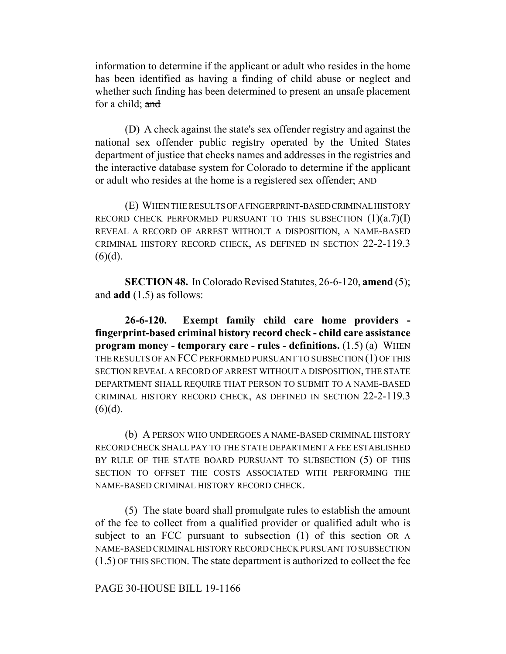information to determine if the applicant or adult who resides in the home has been identified as having a finding of child abuse or neglect and whether such finding has been determined to present an unsafe placement for a child; and

(D) A check against the state's sex offender registry and against the national sex offender public registry operated by the United States department of justice that checks names and addresses in the registries and the interactive database system for Colorado to determine if the applicant or adult who resides at the home is a registered sex offender; AND

(E) WHEN THE RESULTS OF A FINGERPRINT-BASED CRIMINAL HISTORY RECORD CHECK PERFORMED PURSUANT TO THIS SUBSECTION  $(1)(a.7)(I)$ REVEAL A RECORD OF ARREST WITHOUT A DISPOSITION, A NAME-BASED CRIMINAL HISTORY RECORD CHECK, AS DEFINED IN SECTION 22-2-119.3  $(6)(d)$ .

**SECTION 48.** In Colorado Revised Statutes, 26-6-120, **amend** (5); and **add** (1.5) as follows:

**26-6-120. Exempt family child care home providers fingerprint-based criminal history record check - child care assistance program money - temporary care - rules - definitions.** (1.5) (a) WHEN THE RESULTS OF AN FCC PERFORMED PURSUANT TO SUBSECTION (1) OF THIS SECTION REVEAL A RECORD OF ARREST WITHOUT A DISPOSITION, THE STATE DEPARTMENT SHALL REQUIRE THAT PERSON TO SUBMIT TO A NAME-BASED CRIMINAL HISTORY RECORD CHECK, AS DEFINED IN SECTION 22-2-119.3  $(6)(d)$ .

(b) A PERSON WHO UNDERGOES A NAME-BASED CRIMINAL HISTORY RECORD CHECK SHALL PAY TO THE STATE DEPARTMENT A FEE ESTABLISHED BY RULE OF THE STATE BOARD PURSUANT TO SUBSECTION (5) OF THIS SECTION TO OFFSET THE COSTS ASSOCIATED WITH PERFORMING THE NAME-BASED CRIMINAL HISTORY RECORD CHECK.

(5) The state board shall promulgate rules to establish the amount of the fee to collect from a qualified provider or qualified adult who is subject to an FCC pursuant to subsection (1) of this section OR A NAME-BASED CRIMINAL HISTORY RECORD CHECK PURSUANT TO SUBSECTION (1.5) OF THIS SECTION. The state department is authorized to collect the fee

# PAGE 30-HOUSE BILL 19-1166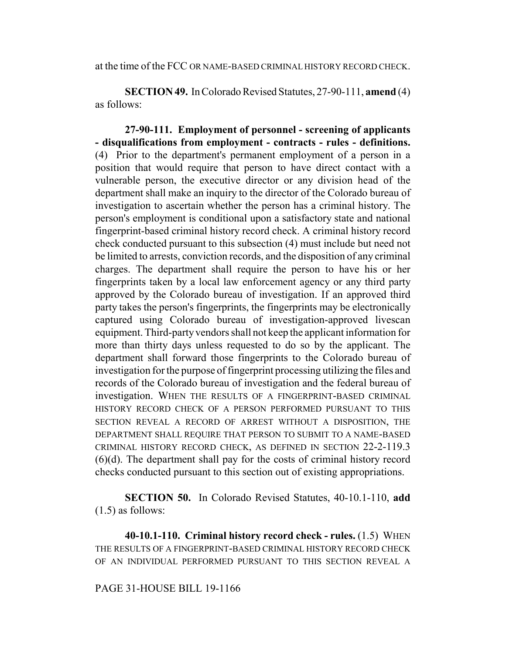at the time of the FCC OR NAME-BASED CRIMINAL HISTORY RECORD CHECK.

**SECTION 49.** In Colorado Revised Statutes, 27-90-111, **amend** (4) as follows:

**27-90-111. Employment of personnel - screening of applicants - disqualifications from employment - contracts - rules - definitions.** (4) Prior to the department's permanent employment of a person in a position that would require that person to have direct contact with a vulnerable person, the executive director or any division head of the department shall make an inquiry to the director of the Colorado bureau of investigation to ascertain whether the person has a criminal history. The person's employment is conditional upon a satisfactory state and national fingerprint-based criminal history record check. A criminal history record check conducted pursuant to this subsection (4) must include but need not be limited to arrests, conviction records, and the disposition of any criminal charges. The department shall require the person to have his or her fingerprints taken by a local law enforcement agency or any third party approved by the Colorado bureau of investigation. If an approved third party takes the person's fingerprints, the fingerprints may be electronically captured using Colorado bureau of investigation-approved livescan equipment. Third-party vendors shall not keep the applicant information for more than thirty days unless requested to do so by the applicant. The department shall forward those fingerprints to the Colorado bureau of investigation for the purpose of fingerprint processing utilizing the files and records of the Colorado bureau of investigation and the federal bureau of investigation. WHEN THE RESULTS OF A FINGERPRINT-BASED CRIMINAL HISTORY RECORD CHECK OF A PERSON PERFORMED PURSUANT TO THIS SECTION REVEAL A RECORD OF ARREST WITHOUT A DISPOSITION, THE DEPARTMENT SHALL REQUIRE THAT PERSON TO SUBMIT TO A NAME-BASED CRIMINAL HISTORY RECORD CHECK, AS DEFINED IN SECTION 22-2-119.3 (6)(d). The department shall pay for the costs of criminal history record checks conducted pursuant to this section out of existing appropriations.

**SECTION 50.** In Colorado Revised Statutes, 40-10.1-110, **add** (1.5) as follows:

**40-10.1-110. Criminal history record check - rules.** (1.5) WHEN THE RESULTS OF A FINGERPRINT-BASED CRIMINAL HISTORY RECORD CHECK OF AN INDIVIDUAL PERFORMED PURSUANT TO THIS SECTION REVEAL A

#### PAGE 31-HOUSE BILL 19-1166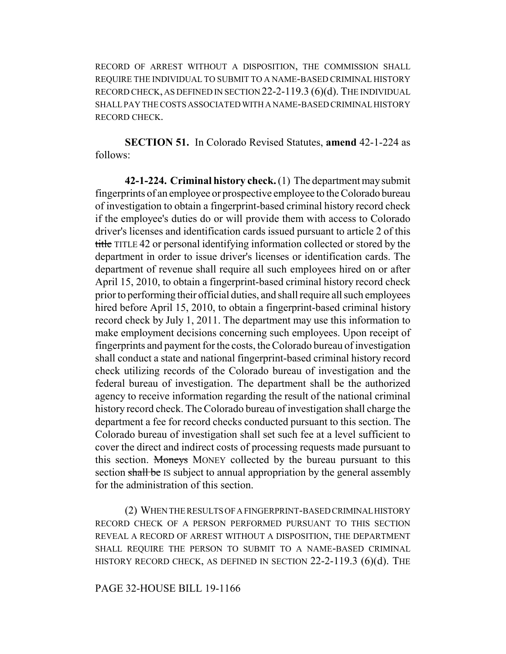RECORD OF ARREST WITHOUT A DISPOSITION, THE COMMISSION SHALL REQUIRE THE INDIVIDUAL TO SUBMIT TO A NAME-BASED CRIMINAL HISTORY RECORD CHECK, AS DEFINED IN SECTION 22-2-119.3 (6)(d). THE INDIVIDUAL SHALL PAY THE COSTS ASSOCIATED WITH A NAME-BASED CRIMINAL HISTORY RECORD CHECK.

**SECTION 51.** In Colorado Revised Statutes, **amend** 42-1-224 as follows:

**42-1-224. Criminal history check.** (1) The department may submit fingerprints of an employee or prospective employee to the Colorado bureau of investigation to obtain a fingerprint-based criminal history record check if the employee's duties do or will provide them with access to Colorado driver's licenses and identification cards issued pursuant to article 2 of this title TITLE 42 or personal identifying information collected or stored by the department in order to issue driver's licenses or identification cards. The department of revenue shall require all such employees hired on or after April 15, 2010, to obtain a fingerprint-based criminal history record check prior to performing their official duties, and shall require all such employees hired before April 15, 2010, to obtain a fingerprint-based criminal history record check by July 1, 2011. The department may use this information to make employment decisions concerning such employees. Upon receipt of fingerprints and payment for the costs, the Colorado bureau of investigation shall conduct a state and national fingerprint-based criminal history record check utilizing records of the Colorado bureau of investigation and the federal bureau of investigation. The department shall be the authorized agency to receive information regarding the result of the national criminal history record check. The Colorado bureau of investigation shall charge the department a fee for record checks conducted pursuant to this section. The Colorado bureau of investigation shall set such fee at a level sufficient to cover the direct and indirect costs of processing requests made pursuant to this section. Moneys MONEY collected by the bureau pursuant to this section shall be IS subject to annual appropriation by the general assembly for the administration of this section.

(2) WHEN THE RESULTS OF A FINGERPRINT-BASED CRIMINAL HISTORY RECORD CHECK OF A PERSON PERFORMED PURSUANT TO THIS SECTION REVEAL A RECORD OF ARREST WITHOUT A DISPOSITION, THE DEPARTMENT SHALL REQUIRE THE PERSON TO SUBMIT TO A NAME-BASED CRIMINAL HISTORY RECORD CHECK, AS DEFINED IN SECTION 22-2-119.3 (6)(d). THE

### PAGE 32-HOUSE BILL 19-1166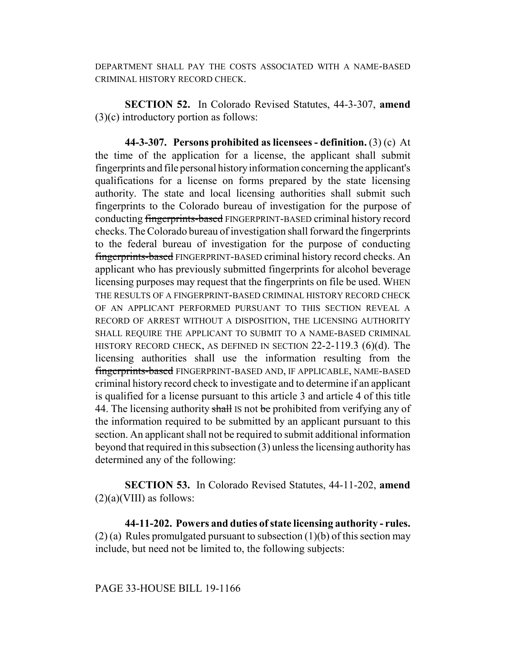DEPARTMENT SHALL PAY THE COSTS ASSOCIATED WITH A NAME-BASED CRIMINAL HISTORY RECORD CHECK.

**SECTION 52.** In Colorado Revised Statutes, 44-3-307, **amend** (3)(c) introductory portion as follows:

**44-3-307. Persons prohibited as licensees - definition.** (3) (c) At the time of the application for a license, the applicant shall submit fingerprints and file personal history information concerning the applicant's qualifications for a license on forms prepared by the state licensing authority. The state and local licensing authorities shall submit such fingerprints to the Colorado bureau of investigation for the purpose of conducting fingerprints-based FINGERPRINT-BASED criminal history record checks. The Colorado bureau of investigation shall forward the fingerprints to the federal bureau of investigation for the purpose of conducting fingerprints-based FINGERPRINT-BASED criminal history record checks. An applicant who has previously submitted fingerprints for alcohol beverage licensing purposes may request that the fingerprints on file be used. WHEN THE RESULTS OF A FINGERPRINT-BASED CRIMINAL HISTORY RECORD CHECK OF AN APPLICANT PERFORMED PURSUANT TO THIS SECTION REVEAL A RECORD OF ARREST WITHOUT A DISPOSITION, THE LICENSING AUTHORITY SHALL REQUIRE THE APPLICANT TO SUBMIT TO A NAME-BASED CRIMINAL HISTORY RECORD CHECK, AS DEFINED IN SECTION 22-2-119.3 (6)(d). The licensing authorities shall use the information resulting from the fingerprints-based FINGERPRINT-BASED AND, IF APPLICABLE, NAME-BASED criminal history record check to investigate and to determine if an applicant is qualified for a license pursuant to this article 3 and article 4 of this title 44. The licensing authority shall IS not be prohibited from verifying any of the information required to be submitted by an applicant pursuant to this section. An applicant shall not be required to submit additional information beyond that required in this subsection (3) unless the licensing authority has determined any of the following:

**SECTION 53.** In Colorado Revised Statutes, 44-11-202, **amend**  $(2)(a)(VIII)$  as follows:

**44-11-202. Powers and duties of state licensing authority - rules.** (2) (a) Rules promulgated pursuant to subsection (1)(b) of this section may include, but need not be limited to, the following subjects: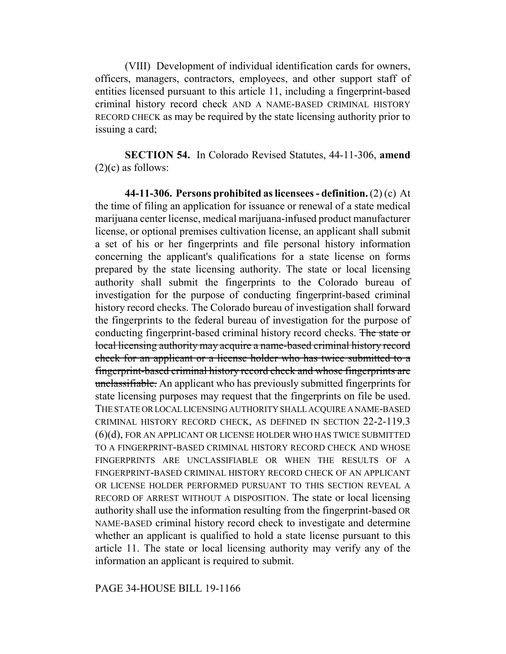(VIII) Development of individual identification cards for owners, officers, managers, contractors, employees, and other support staff of entities licensed pursuant to this article 11, including a fingerprint-based criminal history record check AND A NAME-BASED CRIMINAL HISTORY RECORD CHECK as may be required by the state licensing authority prior to issuing a card;

**SECTION 54.** In Colorado Revised Statutes, 44-11-306, **amend**  $(2)(c)$  as follows:

**44-11-306. Persons prohibited as licensees - definition.** (2) (c) At the time of filing an application for issuance or renewal of a state medical marijuana center license, medical marijuana-infused product manufacturer license, or optional premises cultivation license, an applicant shall submit a set of his or her fingerprints and file personal history information concerning the applicant's qualifications for a state license on forms prepared by the state licensing authority. The state or local licensing authority shall submit the fingerprints to the Colorado bureau of investigation for the purpose of conducting fingerprint-based criminal history record checks. The Colorado bureau of investigation shall forward the fingerprints to the federal bureau of investigation for the purpose of conducting fingerprint-based criminal history record checks. The state or local licensing authority may acquire a name-based criminal history record check for an applicant or a license holder who has twice submitted to a fingerprint-based criminal history record check and whose fingerprints are unclassifiable. An applicant who has previously submitted fingerprints for state licensing purposes may request that the fingerprints on file be used. THE STATE OR LOCAL LICENSING AUTHORITY SHALL ACQUIRE A NAME-BASED CRIMINAL HISTORY RECORD CHECK, AS DEFINED IN SECTION 22-2-119.3 (6)(d), FOR AN APPLICANT OR LICENSE HOLDER WHO HAS TWICE SUBMITTED TO A FINGERPRINT-BASED CRIMINAL HISTORY RECORD CHECK AND WHOSE FINGERPRINTS ARE UNCLASSIFIABLE OR WHEN THE RESULTS OF A FINGERPRINT-BASED CRIMINAL HISTORY RECORD CHECK OF AN APPLICANT OR LICENSE HOLDER PERFORMED PURSUANT TO THIS SECTION REVEAL A RECORD OF ARREST WITHOUT A DISPOSITION. The state or local licensing authority shall use the information resulting from the fingerprint-based OR NAME-BASED criminal history record check to investigate and determine whether an applicant is qualified to hold a state license pursuant to this article 11. The state or local licensing authority may verify any of the information an applicant is required to submit.

# PAGE 34-HOUSE BILL 19-1166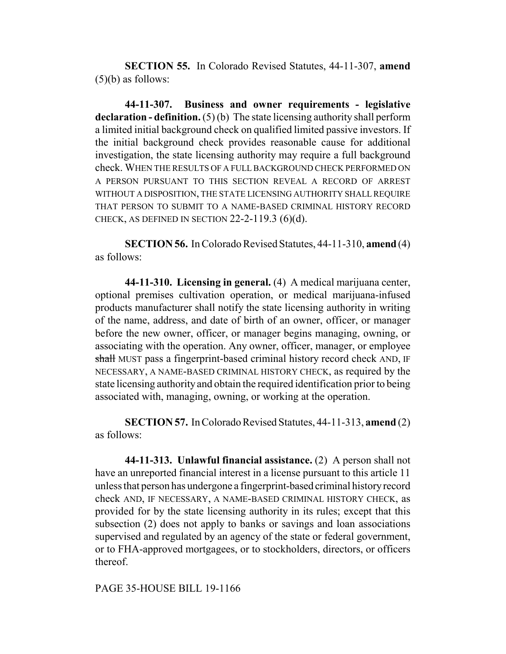**SECTION 55.** In Colorado Revised Statutes, 44-11-307, **amend**  $(5)(b)$  as follows:

**44-11-307. Business and owner requirements - legislative declaration - definition.** (5) (b) The state licensing authority shall perform a limited initial background check on qualified limited passive investors. If the initial background check provides reasonable cause for additional investigation, the state licensing authority may require a full background check. WHEN THE RESULTS OF A FULL BACKGROUND CHECK PERFORMED ON A PERSON PURSUANT TO THIS SECTION REVEAL A RECORD OF ARREST WITHOUT A DISPOSITION, THE STATE LICENSING AUTHORITY SHALL REQUIRE THAT PERSON TO SUBMIT TO A NAME-BASED CRIMINAL HISTORY RECORD CHECK, AS DEFINED IN SECTION  $22-2-119.3$  (6)(d).

**SECTION 56.** In Colorado Revised Statutes, 44-11-310, **amend** (4) as follows:

**44-11-310. Licensing in general.** (4) A medical marijuana center, optional premises cultivation operation, or medical marijuana-infused products manufacturer shall notify the state licensing authority in writing of the name, address, and date of birth of an owner, officer, or manager before the new owner, officer, or manager begins managing, owning, or associating with the operation. Any owner, officer, manager, or employee shall MUST pass a fingerprint-based criminal history record check AND, IF NECESSARY, A NAME-BASED CRIMINAL HISTORY CHECK, as required by the state licensing authority and obtain the required identification prior to being associated with, managing, owning, or working at the operation.

**SECTION 57.** In Colorado Revised Statutes, 44-11-313, **amend** (2) as follows:

**44-11-313. Unlawful financial assistance.** (2) A person shall not have an unreported financial interest in a license pursuant to this article 11 unless that person has undergone a fingerprint-based criminal history record check AND, IF NECESSARY, A NAME-BASED CRIMINAL HISTORY CHECK, as provided for by the state licensing authority in its rules; except that this subsection (2) does not apply to banks or savings and loan associations supervised and regulated by an agency of the state or federal government, or to FHA-approved mortgagees, or to stockholders, directors, or officers thereof.

### PAGE 35-HOUSE BILL 19-1166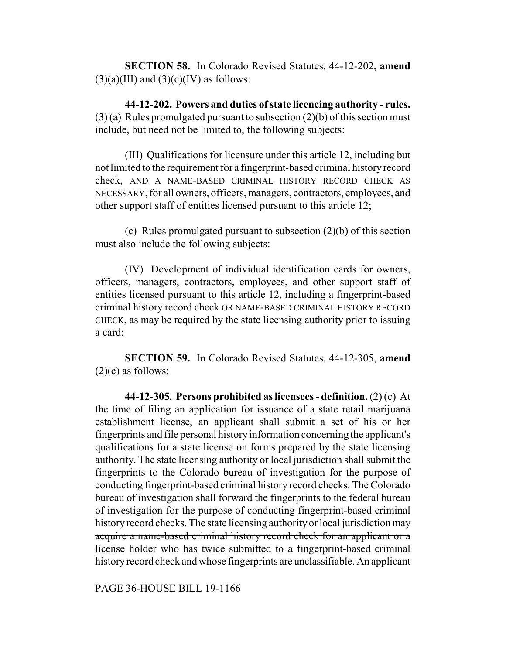**SECTION 58.** In Colorado Revised Statutes, 44-12-202, **amend**  $(3)(a)(III)$  and  $(3)(c)(IV)$  as follows:

**44-12-202. Powers and duties of state licencing authority - rules.**  $(3)$  (a) Rules promulgated pursuant to subsection (2)(b) of this section must include, but need not be limited to, the following subjects:

(III) Qualifications for licensure under this article 12, including but not limited to the requirement for a fingerprint-based criminal history record check, AND A NAME-BASED CRIMINAL HISTORY RECORD CHECK AS NECESSARY, for all owners, officers, managers, contractors, employees, and other support staff of entities licensed pursuant to this article 12;

(c) Rules promulgated pursuant to subsection (2)(b) of this section must also include the following subjects:

(IV) Development of individual identification cards for owners, officers, managers, contractors, employees, and other support staff of entities licensed pursuant to this article 12, including a fingerprint-based criminal history record check OR NAME-BASED CRIMINAL HISTORY RECORD CHECK, as may be required by the state licensing authority prior to issuing a card;

**SECTION 59.** In Colorado Revised Statutes, 44-12-305, **amend**  $(2)(c)$  as follows:

**44-12-305. Persons prohibited as licensees - definition.** (2) (c) At the time of filing an application for issuance of a state retail marijuana establishment license, an applicant shall submit a set of his or her fingerprints and file personal history information concerning the applicant's qualifications for a state license on forms prepared by the state licensing authority. The state licensing authority or local jurisdiction shall submit the fingerprints to the Colorado bureau of investigation for the purpose of conducting fingerprint-based criminal history record checks. The Colorado bureau of investigation shall forward the fingerprints to the federal bureau of investigation for the purpose of conducting fingerprint-based criminal history record checks. The state licensing authority or local jurisdiction may acquire a name-based criminal history record check for an applicant or a license holder who has twice submitted to a fingerprint-based criminal history record check and whose fingerprints are unclassifiable. An applicant

PAGE 36-HOUSE BILL 19-1166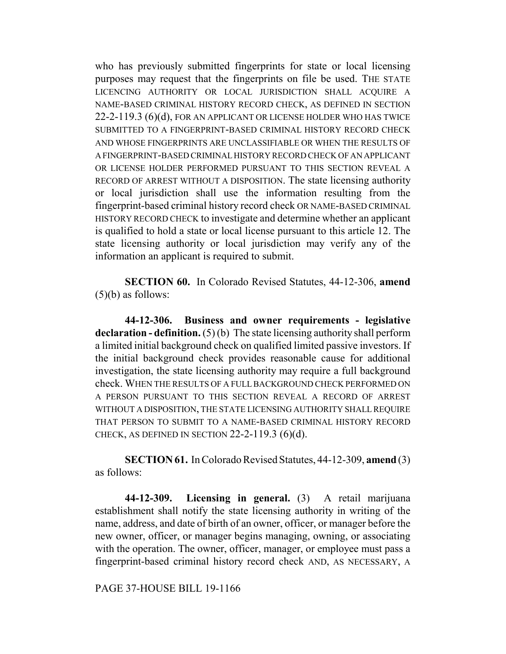who has previously submitted fingerprints for state or local licensing purposes may request that the fingerprints on file be used. THE STATE LICENCING AUTHORITY OR LOCAL JURISDICTION SHALL ACQUIRE A NAME-BASED CRIMINAL HISTORY RECORD CHECK, AS DEFINED IN SECTION 22-2-119.3 (6)(d), FOR AN APPLICANT OR LICENSE HOLDER WHO HAS TWICE SUBMITTED TO A FINGERPRINT-BASED CRIMINAL HISTORY RECORD CHECK AND WHOSE FINGERPRINTS ARE UNCLASSIFIABLE OR WHEN THE RESULTS OF A FINGERPRINT-BASED CRIMINAL HISTORY RECORD CHECK OF AN APPLICANT OR LICENSE HOLDER PERFORMED PURSUANT TO THIS SECTION REVEAL A RECORD OF ARREST WITHOUT A DISPOSITION. The state licensing authority or local jurisdiction shall use the information resulting from the fingerprint-based criminal history record check OR NAME-BASED CRIMINAL HISTORY RECORD CHECK to investigate and determine whether an applicant is qualified to hold a state or local license pursuant to this article 12. The state licensing authority or local jurisdiction may verify any of the information an applicant is required to submit.

**SECTION 60.** In Colorado Revised Statutes, 44-12-306, **amend**  $(5)(b)$  as follows:

**44-12-306. Business and owner requirements - legislative declaration - definition.** (5) (b) The state licensing authority shall perform a limited initial background check on qualified limited passive investors. If the initial background check provides reasonable cause for additional investigation, the state licensing authority may require a full background check. WHEN THE RESULTS OF A FULL BACKGROUND CHECK PERFORMED ON A PERSON PURSUANT TO THIS SECTION REVEAL A RECORD OF ARREST WITHOUT A DISPOSITION, THE STATE LICENSING AUTHORITY SHALL REQUIRE THAT PERSON TO SUBMIT TO A NAME-BASED CRIMINAL HISTORY RECORD CHECK, AS DEFINED IN SECTION  $22-2-119.3$  (6)(d).

**SECTION 61.** In Colorado Revised Statutes, 44-12-309, **amend** (3) as follows:

**44-12-309. Licensing in general.** (3) A retail marijuana establishment shall notify the state licensing authority in writing of the name, address, and date of birth of an owner, officer, or manager before the new owner, officer, or manager begins managing, owning, or associating with the operation. The owner, officer, manager, or employee must pass a fingerprint-based criminal history record check AND, AS NECESSARY, A

PAGE 37-HOUSE BILL 19-1166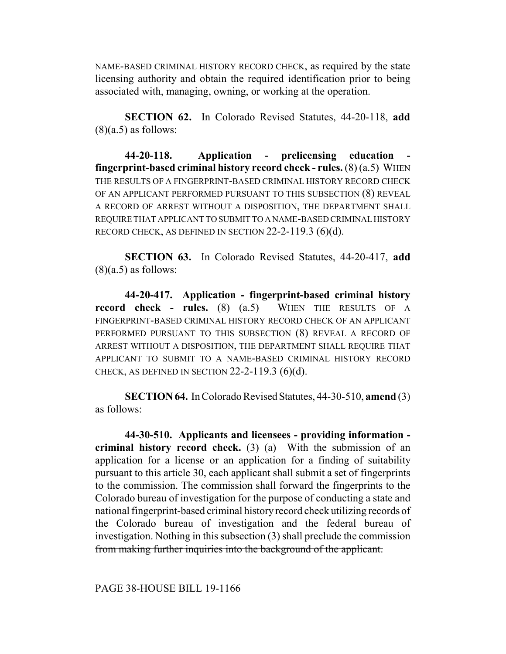NAME-BASED CRIMINAL HISTORY RECORD CHECK, as required by the state licensing authority and obtain the required identification prior to being associated with, managing, owning, or working at the operation.

**SECTION 62.** In Colorado Revised Statutes, 44-20-118, **add**  $(8)(a.5)$  as follows:

**44-20-118. Application - prelicensing education fingerprint-based criminal history record check - rules.** (8) (a.5) WHEN THE RESULTS OF A FINGERPRINT-BASED CRIMINAL HISTORY RECORD CHECK OF AN APPLICANT PERFORMED PURSUANT TO THIS SUBSECTION (8) REVEAL A RECORD OF ARREST WITHOUT A DISPOSITION, THE DEPARTMENT SHALL REQUIRE THAT APPLICANT TO SUBMIT TO A NAME-BASED CRIMINAL HISTORY RECORD CHECK, AS DEFINED IN SECTION 22-2-119.3 (6)(d).

**SECTION 63.** In Colorado Revised Statutes, 44-20-417, **add**  $(8)(a.5)$  as follows:

**44-20-417. Application - fingerprint-based criminal history record check - rules.** (8) (a.5) WHEN THE RESULTS OF A FINGERPRINT-BASED CRIMINAL HISTORY RECORD CHECK OF AN APPLICANT PERFORMED PURSUANT TO THIS SUBSECTION (8) REVEAL A RECORD OF ARREST WITHOUT A DISPOSITION, THE DEPARTMENT SHALL REQUIRE THAT APPLICANT TO SUBMIT TO A NAME-BASED CRIMINAL HISTORY RECORD CHECK, AS DEFINED IN SECTION  $22-2-119.3$  (6)(d).

**SECTION 64.** In Colorado Revised Statutes, 44-30-510, **amend** (3) as follows:

**44-30-510. Applicants and licensees - providing information criminal history record check.** (3) (a) With the submission of an application for a license or an application for a finding of suitability pursuant to this article 30, each applicant shall submit a set of fingerprints to the commission. The commission shall forward the fingerprints to the Colorado bureau of investigation for the purpose of conducting a state and national fingerprint-based criminal history record check utilizing records of the Colorado bureau of investigation and the federal bureau of investigation. Nothing in this subsection (3) shall preclude the commission from making further inquiries into the background of the applicant.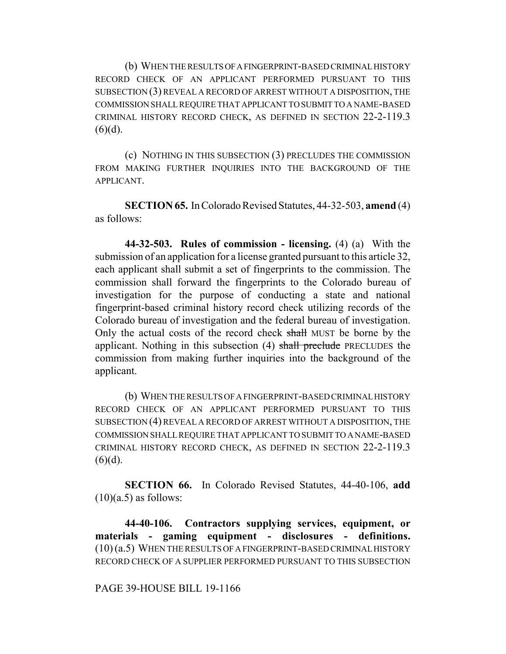(b) WHEN THE RESULTS OF A FINGERPRINT-BASED CRIMINAL HISTORY RECORD CHECK OF AN APPLICANT PERFORMED PURSUANT TO THIS SUBSECTION (3) REVEAL A RECORD OF ARREST WITHOUT A DISPOSITION, THE COMMISSION SHALL REQUIRE THAT APPLICANT TO SUBMIT TO A NAME-BASED CRIMINAL HISTORY RECORD CHECK, AS DEFINED IN SECTION 22-2-119.3  $(6)(d)$ .

(c) NOTHING IN THIS SUBSECTION (3) PRECLUDES THE COMMISSION FROM MAKING FURTHER INQUIRIES INTO THE BACKGROUND OF THE APPLICANT.

**SECTION 65.** In Colorado Revised Statutes, 44-32-503, **amend** (4) as follows:

**44-32-503. Rules of commission - licensing.** (4) (a) With the submission of an application for a license granted pursuant to this article 32, each applicant shall submit a set of fingerprints to the commission. The commission shall forward the fingerprints to the Colorado bureau of investigation for the purpose of conducting a state and national fingerprint-based criminal history record check utilizing records of the Colorado bureau of investigation and the federal bureau of investigation. Only the actual costs of the record check shall MUST be borne by the applicant. Nothing in this subsection (4) shall preclude PRECLUDES the commission from making further inquiries into the background of the applicant.

(b) WHEN THE RESULTS OF A FINGERPRINT-BASED CRIMINAL HISTORY RECORD CHECK OF AN APPLICANT PERFORMED PURSUANT TO THIS SUBSECTION (4) REVEAL A RECORD OF ARREST WITHOUT A DISPOSITION, THE COMMISSION SHALL REQUIRE THAT APPLICANT TO SUBMIT TO A NAME-BASED CRIMINAL HISTORY RECORD CHECK, AS DEFINED IN SECTION 22-2-119.3  $(6)(d)$ .

**SECTION 66.** In Colorado Revised Statutes, 44-40-106, **add**  $(10)(a.5)$  as follows:

**44-40-106. Contractors supplying services, equipment, or materials - gaming equipment - disclosures - definitions.** (10) (a.5) WHEN THE RESULTS OF A FINGERPRINT-BASED CRIMINAL HISTORY RECORD CHECK OF A SUPPLIER PERFORMED PURSUANT TO THIS SUBSECTION

### PAGE 39-HOUSE BILL 19-1166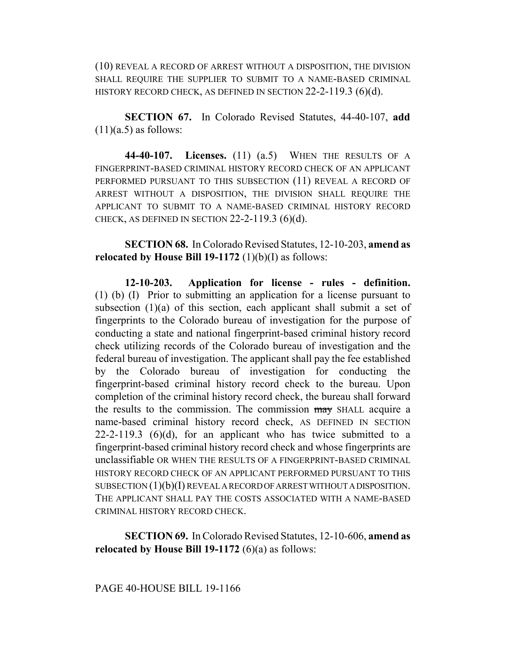(10) REVEAL A RECORD OF ARREST WITHOUT A DISPOSITION, THE DIVISION SHALL REQUIRE THE SUPPLIER TO SUBMIT TO A NAME-BASED CRIMINAL HISTORY RECORD CHECK, AS DEFINED IN SECTION 22-2-119.3 (6)(d).

**SECTION 67.** In Colorado Revised Statutes, 44-40-107, **add**  $(11)(a.5)$  as follows:

**44-40-107. Licenses.** (11) (a.5) WHEN THE RESULTS OF A FINGERPRINT-BASED CRIMINAL HISTORY RECORD CHECK OF AN APPLICANT PERFORMED PURSUANT TO THIS SUBSECTION (11) REVEAL A RECORD OF ARREST WITHOUT A DISPOSITION, THE DIVISION SHALL REQUIRE THE APPLICANT TO SUBMIT TO A NAME-BASED CRIMINAL HISTORY RECORD CHECK, AS DEFINED IN SECTION  $22-2-119.3$  (6)(d).

**SECTION 68.** In Colorado Revised Statutes, 12-10-203, **amend as relocated by House Bill 19-1172** (1)(b)(I) as follows:

**12-10-203. Application for license - rules - definition.** (1) (b) (I) Prior to submitting an application for a license pursuant to subsection  $(1)(a)$  of this section, each applicant shall submit a set of fingerprints to the Colorado bureau of investigation for the purpose of conducting a state and national fingerprint-based criminal history record check utilizing records of the Colorado bureau of investigation and the federal bureau of investigation. The applicant shall pay the fee established by the Colorado bureau of investigation for conducting the fingerprint-based criminal history record check to the bureau. Upon completion of the criminal history record check, the bureau shall forward the results to the commission. The commission may SHALL acquire a name-based criminal history record check, AS DEFINED IN SECTION  $22-2-119.3$  (6)(d), for an applicant who has twice submitted to a fingerprint-based criminal history record check and whose fingerprints are unclassifiable OR WHEN THE RESULTS OF A FINGERPRINT-BASED CRIMINAL HISTORY RECORD CHECK OF AN APPLICANT PERFORMED PURSUANT TO THIS SUBSECTION (1)(b)(I) REVEAL A RECORD OF ARREST WITHOUT A DISPOSITION. THE APPLICANT SHALL PAY THE COSTS ASSOCIATED WITH A NAME-BASED CRIMINAL HISTORY RECORD CHECK.

**SECTION 69.** In Colorado Revised Statutes, 12-10-606, **amend as relocated by House Bill 19-1172** (6)(a) as follows: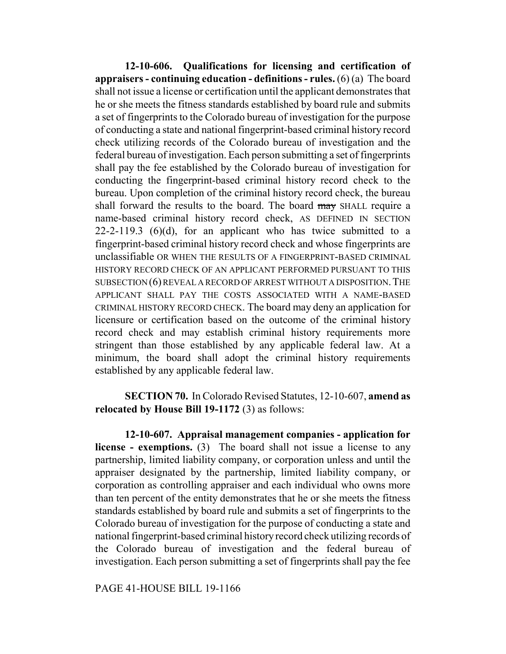**12-10-606. Qualifications for licensing and certification of appraisers - continuing education - definitions - rules.** (6) (a) The board shall not issue a license or certification until the applicant demonstrates that he or she meets the fitness standards established by board rule and submits a set of fingerprints to the Colorado bureau of investigation for the purpose of conducting a state and national fingerprint-based criminal history record check utilizing records of the Colorado bureau of investigation and the federal bureau of investigation. Each person submitting a set of fingerprints shall pay the fee established by the Colorado bureau of investigation for conducting the fingerprint-based criminal history record check to the bureau. Upon completion of the criminal history record check, the bureau shall forward the results to the board. The board may SHALL require a name-based criminal history record check, AS DEFINED IN SECTION  $22-2-119.3$  (6)(d), for an applicant who has twice submitted to a fingerprint-based criminal history record check and whose fingerprints are unclassifiable OR WHEN THE RESULTS OF A FINGERPRINT-BASED CRIMINAL HISTORY RECORD CHECK OF AN APPLICANT PERFORMED PURSUANT TO THIS SUBSECTION  $(6)$  REVEAL A RECORD OF ARREST WITHOUT A DISPOSITION. THE APPLICANT SHALL PAY THE COSTS ASSOCIATED WITH A NAME-BASED CRIMINAL HISTORY RECORD CHECK. The board may deny an application for licensure or certification based on the outcome of the criminal history record check and may establish criminal history requirements more stringent than those established by any applicable federal law. At a minimum, the board shall adopt the criminal history requirements established by any applicable federal law.

**SECTION 70.** In Colorado Revised Statutes, 12-10-607, **amend as relocated by House Bill 19-1172** (3) as follows:

**12-10-607. Appraisal management companies - application for license** - **exemptions.** (3) The board shall not issue a license to any partnership, limited liability company, or corporation unless and until the appraiser designated by the partnership, limited liability company, or corporation as controlling appraiser and each individual who owns more than ten percent of the entity demonstrates that he or she meets the fitness standards established by board rule and submits a set of fingerprints to the Colorado bureau of investigation for the purpose of conducting a state and national fingerprint-based criminal history record check utilizing records of the Colorado bureau of investigation and the federal bureau of investigation. Each person submitting a set of fingerprints shall pay the fee

PAGE 41-HOUSE BILL 19-1166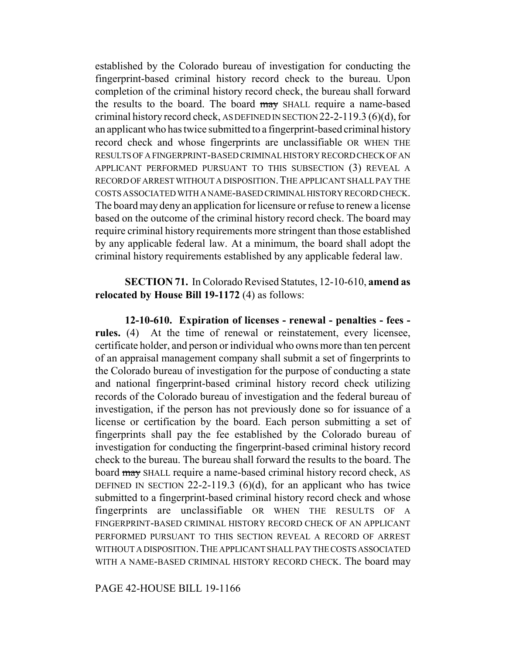established by the Colorado bureau of investigation for conducting the fingerprint-based criminal history record check to the bureau. Upon completion of the criminal history record check, the bureau shall forward the results to the board. The board may SHALL require a name-based criminal history record check, AS DEFINED IN SECTION 22-2-119.3 (6)(d), for an applicant who has twice submitted to a fingerprint-based criminal history record check and whose fingerprints are unclassifiable OR WHEN THE RESULTS OF A FINGERPRINT-BASED CRIMINAL HISTORY RECORD CHECK OF AN APPLICANT PERFORMED PURSUANT TO THIS SUBSECTION (3) REVEAL A RECORD OF ARREST WITHOUT A DISPOSITION. THE APPLICANT SHALL PAY THE COSTS ASSOCIATED WITH A NAME-BASED CRIMINAL HISTORY RECORD CHECK. The board may deny an application for licensure or refuse to renew a license based on the outcome of the criminal history record check. The board may require criminal history requirements more stringent than those established by any applicable federal law. At a minimum, the board shall adopt the criminal history requirements established by any applicable federal law.

**SECTION 71.** In Colorado Revised Statutes, 12-10-610, **amend as relocated by House Bill 19-1172** (4) as follows:

**12-10-610. Expiration of licenses - renewal - penalties - fees rules.** (4) At the time of renewal or reinstatement, every licensee, certificate holder, and person or individual who owns more than ten percent of an appraisal management company shall submit a set of fingerprints to the Colorado bureau of investigation for the purpose of conducting a state and national fingerprint-based criminal history record check utilizing records of the Colorado bureau of investigation and the federal bureau of investigation, if the person has not previously done so for issuance of a license or certification by the board. Each person submitting a set of fingerprints shall pay the fee established by the Colorado bureau of investigation for conducting the fingerprint-based criminal history record check to the bureau. The bureau shall forward the results to the board. The board may SHALL require a name-based criminal history record check, AS DEFINED IN SECTION 22-2-119.3 (6)(d), for an applicant who has twice submitted to a fingerprint-based criminal history record check and whose fingerprints are unclassifiable OR WHEN THE RESULTS OF A FINGERPRINT-BASED CRIMINAL HISTORY RECORD CHECK OF AN APPLICANT PERFORMED PURSUANT TO THIS SECTION REVEAL A RECORD OF ARREST WITHOUT A DISPOSITION. THE APPLICANT SHALL PAY THE COSTS ASSOCIATED WITH A NAME-BASED CRIMINAL HISTORY RECORD CHECK. The board may

PAGE 42-HOUSE BILL 19-1166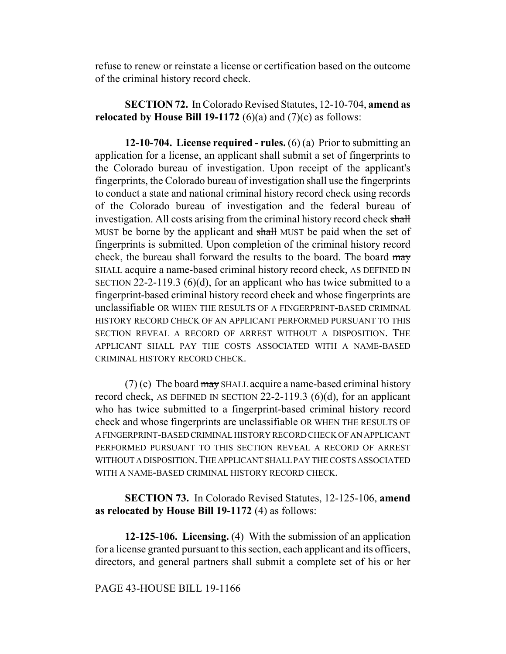refuse to renew or reinstate a license or certification based on the outcome of the criminal history record check.

# **SECTION 72.** In Colorado Revised Statutes, 12-10-704, **amend as relocated by House Bill 19-1172** (6)(a) and  $(7)$ (c) as follows:

**12-10-704. License required - rules.** (6) (a) Prior to submitting an application for a license, an applicant shall submit a set of fingerprints to the Colorado bureau of investigation. Upon receipt of the applicant's fingerprints, the Colorado bureau of investigation shall use the fingerprints to conduct a state and national criminal history record check using records of the Colorado bureau of investigation and the federal bureau of investigation. All costs arising from the criminal history record check shall MUST be borne by the applicant and shall MUST be paid when the set of fingerprints is submitted. Upon completion of the criminal history record check, the bureau shall forward the results to the board. The board may SHALL acquire a name-based criminal history record check, AS DEFINED IN SECTION 22-2-119.3 (6)(d), for an applicant who has twice submitted to a fingerprint-based criminal history record check and whose fingerprints are unclassifiable OR WHEN THE RESULTS OF A FINGERPRINT-BASED CRIMINAL HISTORY RECORD CHECK OF AN APPLICANT PERFORMED PURSUANT TO THIS SECTION REVEAL A RECORD OF ARREST WITHOUT A DISPOSITION. THE APPLICANT SHALL PAY THE COSTS ASSOCIATED WITH A NAME-BASED CRIMINAL HISTORY RECORD CHECK.

 $(7)$  (c) The board may SHALL acquire a name-based criminal history record check, AS DEFINED IN SECTION 22-2-119.3 (6)(d), for an applicant who has twice submitted to a fingerprint-based criminal history record check and whose fingerprints are unclassifiable OR WHEN THE RESULTS OF A FINGERPRINT-BASED CRIMINAL HISTORY RECORD CHECK OF AN APPLICANT PERFORMED PURSUANT TO THIS SECTION REVEAL A RECORD OF ARREST WITHOUT A DISPOSITION. THE APPLICANT SHALL PAY THE COSTS ASSOCIATED WITH A NAME-BASED CRIMINAL HISTORY RECORD CHECK.

# **SECTION 73.** In Colorado Revised Statutes, 12-125-106, **amend as relocated by House Bill 19-1172** (4) as follows:

**12-125-106. Licensing.** (4) With the submission of an application for a license granted pursuant to this section, each applicant and its officers, directors, and general partners shall submit a complete set of his or her

### PAGE 43-HOUSE BILL 19-1166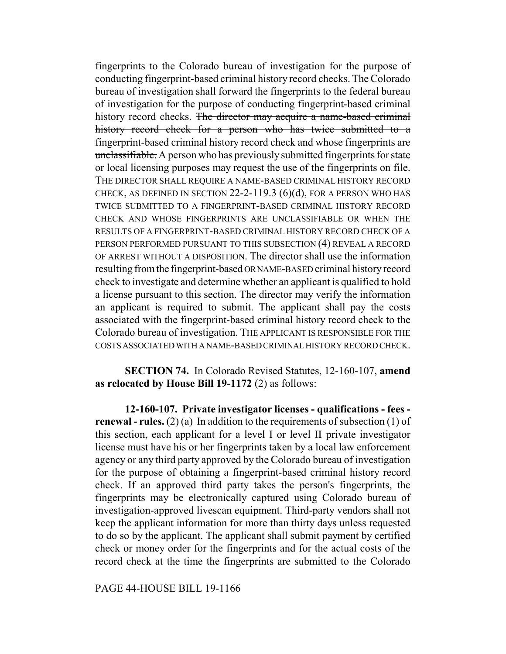fingerprints to the Colorado bureau of investigation for the purpose of conducting fingerprint-based criminal history record checks. The Colorado bureau of investigation shall forward the fingerprints to the federal bureau of investigation for the purpose of conducting fingerprint-based criminal history record checks. The director may acquire a name-based criminal history record check for a person who has twice submitted to a fingerprint-based criminal history record check and whose fingerprints are unclassifiable. A person who has previously submitted fingerprints for state or local licensing purposes may request the use of the fingerprints on file. THE DIRECTOR SHALL REQUIRE A NAME-BASED CRIMINAL HISTORY RECORD CHECK, AS DEFINED IN SECTION  $22$ -2-119.3 (6)(d), FOR A PERSON WHO HAS TWICE SUBMITTED TO A FINGERPRINT-BASED CRIMINAL HISTORY RECORD CHECK AND WHOSE FINGERPRINTS ARE UNCLASSIFIABLE OR WHEN THE RESULTS OF A FINGERPRINT-BASED CRIMINAL HISTORY RECORD CHECK OF A PERSON PERFORMED PURSUANT TO THIS SUBSECTION (4) REVEAL A RECORD OF ARREST WITHOUT A DISPOSITION. The director shall use the information resulting from the fingerprint-based OR NAME-BASED criminal history record check to investigate and determine whether an applicant is qualified to hold a license pursuant to this section. The director may verify the information an applicant is required to submit. The applicant shall pay the costs associated with the fingerprint-based criminal history record check to the Colorado bureau of investigation. THE APPLICANT IS RESPONSIBLE FOR THE COSTS ASSOCIATED WITH A NAME-BASED CRIMINAL HISTORY RECORD CHECK.

**SECTION 74.** In Colorado Revised Statutes, 12-160-107, **amend as relocated by House Bill 19-1172** (2) as follows:

**12-160-107. Private investigator licenses - qualifications - fees renewal - rules.** (2) (a) In addition to the requirements of subsection (1) of this section, each applicant for a level I or level II private investigator license must have his or her fingerprints taken by a local law enforcement agency or any third party approved by the Colorado bureau of investigation for the purpose of obtaining a fingerprint-based criminal history record check. If an approved third party takes the person's fingerprints, the fingerprints may be electronically captured using Colorado bureau of investigation-approved livescan equipment. Third-party vendors shall not keep the applicant information for more than thirty days unless requested to do so by the applicant. The applicant shall submit payment by certified check or money order for the fingerprints and for the actual costs of the record check at the time the fingerprints are submitted to the Colorado

PAGE 44-HOUSE BILL 19-1166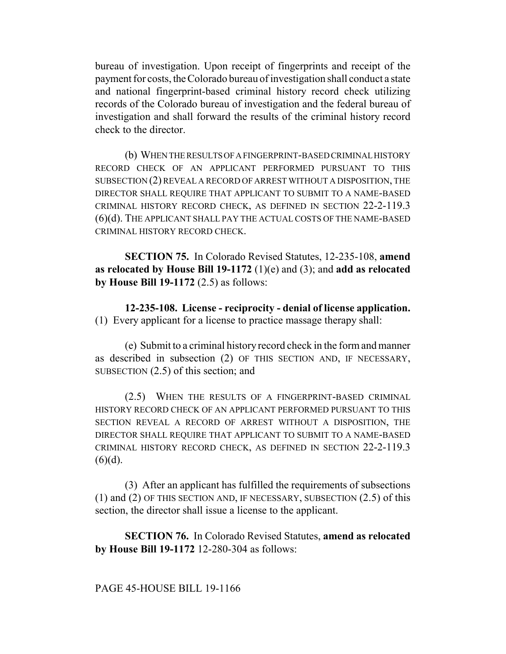bureau of investigation. Upon receipt of fingerprints and receipt of the payment for costs, the Colorado bureau of investigation shall conduct a state and national fingerprint-based criminal history record check utilizing records of the Colorado bureau of investigation and the federal bureau of investigation and shall forward the results of the criminal history record check to the director.

(b) WHEN THE RESULTS OF A FINGERPRINT-BASED CRIMINAL HISTORY RECORD CHECK OF AN APPLICANT PERFORMED PURSUANT TO THIS SUBSECTION (2) REVEAL A RECORD OF ARREST WITHOUT A DISPOSITION, THE DIRECTOR SHALL REQUIRE THAT APPLICANT TO SUBMIT TO A NAME-BASED CRIMINAL HISTORY RECORD CHECK, AS DEFINED IN SECTION 22-2-119.3 (6)(d). THE APPLICANT SHALL PAY THE ACTUAL COSTS OF THE NAME-BASED CRIMINAL HISTORY RECORD CHECK.

**SECTION 75.** In Colorado Revised Statutes, 12-235-108, **amend as relocated by House Bill 19-1172** (1)(e) and (3); and **add as relocated by House Bill 19-1172** (2.5) as follows:

**12-235-108. License - reciprocity - denial of license application.** (1) Every applicant for a license to practice massage therapy shall:

(e) Submit to a criminal history record check in the form and manner as described in subsection (2) OF THIS SECTION AND, IF NECESSARY, SUBSECTION (2.5) of this section; and

(2.5) WHEN THE RESULTS OF A FINGERPRINT-BASED CRIMINAL HISTORY RECORD CHECK OF AN APPLICANT PERFORMED PURSUANT TO THIS SECTION REVEAL A RECORD OF ARREST WITHOUT A DISPOSITION, THE DIRECTOR SHALL REQUIRE THAT APPLICANT TO SUBMIT TO A NAME-BASED CRIMINAL HISTORY RECORD CHECK, AS DEFINED IN SECTION 22-2-119.3  $(6)(d)$ .

(3) After an applicant has fulfilled the requirements of subsections (1) and (2) OF THIS SECTION AND, IF NECESSARY, SUBSECTION (2.5) of this section, the director shall issue a license to the applicant.

**SECTION 76.** In Colorado Revised Statutes, **amend as relocated by House Bill 19-1172** 12-280-304 as follows:

### PAGE 45-HOUSE BILL 19-1166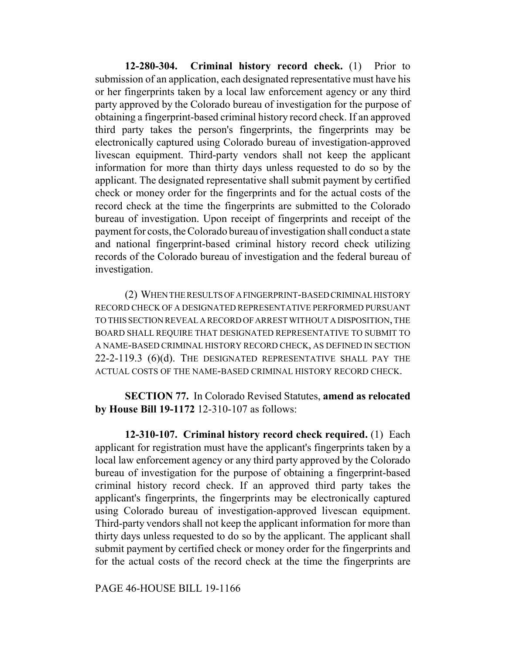**12-280-304. Criminal history record check.** (1) Prior to submission of an application, each designated representative must have his or her fingerprints taken by a local law enforcement agency or any third party approved by the Colorado bureau of investigation for the purpose of obtaining a fingerprint-based criminal history record check. If an approved third party takes the person's fingerprints, the fingerprints may be electronically captured using Colorado bureau of investigation-approved livescan equipment. Third-party vendors shall not keep the applicant information for more than thirty days unless requested to do so by the applicant. The designated representative shall submit payment by certified check or money order for the fingerprints and for the actual costs of the record check at the time the fingerprints are submitted to the Colorado bureau of investigation. Upon receipt of fingerprints and receipt of the payment for costs, the Colorado bureau of investigation shall conduct a state and national fingerprint-based criminal history record check utilizing records of the Colorado bureau of investigation and the federal bureau of investigation.

(2) WHEN THE RESULTS OF A FINGERPRINT-BASED CRIMINAL HISTORY RECORD CHECK OF A DESIGNATED REPRESENTATIVE PERFORMED PURSUANT TO THIS SECTION REVEAL A RECORD OF ARREST WITHOUT A DISPOSITION, THE BOARD SHALL REQUIRE THAT DESIGNATED REPRESENTATIVE TO SUBMIT TO A NAME-BASED CRIMINAL HISTORY RECORD CHECK, AS DEFINED IN SECTION 22-2-119.3 (6)(d). THE DESIGNATED REPRESENTATIVE SHALL PAY THE ACTUAL COSTS OF THE NAME-BASED CRIMINAL HISTORY RECORD CHECK.

**SECTION 77.** In Colorado Revised Statutes, **amend as relocated by House Bill 19-1172** 12-310-107 as follows:

**12-310-107. Criminal history record check required.** (1) Each applicant for registration must have the applicant's fingerprints taken by a local law enforcement agency or any third party approved by the Colorado bureau of investigation for the purpose of obtaining a fingerprint-based criminal history record check. If an approved third party takes the applicant's fingerprints, the fingerprints may be electronically captured using Colorado bureau of investigation-approved livescan equipment. Third-party vendors shall not keep the applicant information for more than thirty days unless requested to do so by the applicant. The applicant shall submit payment by certified check or money order for the fingerprints and for the actual costs of the record check at the time the fingerprints are

PAGE 46-HOUSE BILL 19-1166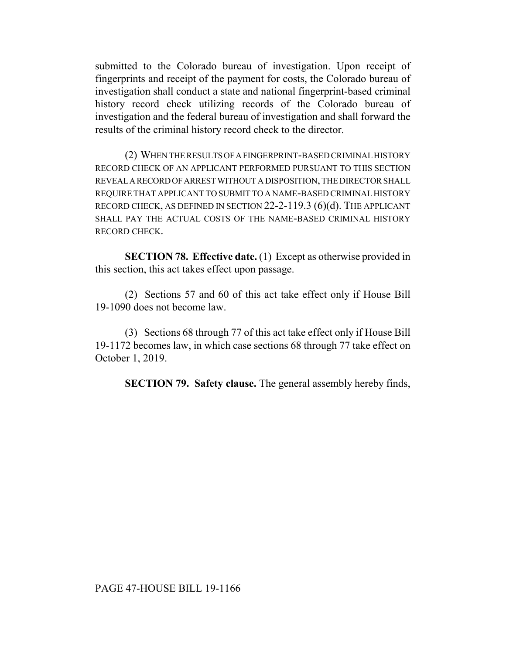submitted to the Colorado bureau of investigation. Upon receipt of fingerprints and receipt of the payment for costs, the Colorado bureau of investigation shall conduct a state and national fingerprint-based criminal history record check utilizing records of the Colorado bureau of investigation and the federal bureau of investigation and shall forward the results of the criminal history record check to the director.

(2) WHEN THE RESULTS OF A FINGERPRINT-BASED CRIMINAL HISTORY RECORD CHECK OF AN APPLICANT PERFORMED PURSUANT TO THIS SECTION REVEAL A RECORD OF ARREST WITHOUT A DISPOSITION, THE DIRECTOR SHALL REQUIRE THAT APPLICANT TO SUBMIT TO A NAME-BASED CRIMINAL HISTORY RECORD CHECK, AS DEFINED IN SECTION 22-2-119.3 (6)(d). THE APPLICANT SHALL PAY THE ACTUAL COSTS OF THE NAME-BASED CRIMINAL HISTORY RECORD CHECK.

**SECTION 78. Effective date.** (1) Except as otherwise provided in this section, this act takes effect upon passage.

(2) Sections 57 and 60 of this act take effect only if House Bill 19-1090 does not become law.

(3) Sections 68 through 77 of this act take effect only if House Bill 19-1172 becomes law, in which case sections 68 through 77 take effect on October 1, 2019.

**SECTION 79. Safety clause.** The general assembly hereby finds,